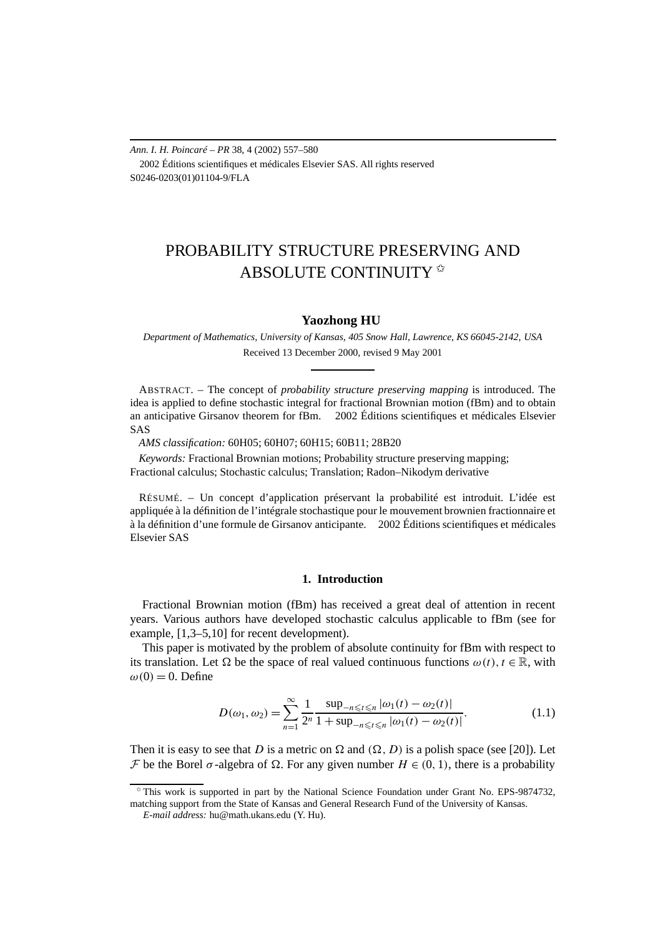*Ann. I. H. Poincaré – PR* 38, 4 (2002) 557–580 2002 Éditions scientifiques et médicales Elsevier SAS. All rights reserved S0246-0203(01)01104-9/FLA

# PROBABILITY STRUCTURE PRESERVING AND ABSOLUTE CONTINUITY

# **Yaozhong HU**

*Department of Mathematics, University of Kansas, 405 Snow Hall, Lawrence, KS 66045-2142, USA* Received 13 December 2000, revised 9 May 2001

ABSTRACT. – The concept of *probability structure preserving mapping* is introduced. The idea is applied to define stochastic integral for fractional Brownian motion (fBm) and to obtain an anticipative Girsanov theorem for fBm.  $\odot$  2002 Éditions scientifiques et médicales Elsevier SAS

*AMS classification:* 60H05; 60H07; 60H15; 60B11; 28B20

*Keywords:* Fractional Brownian motions; Probability structure preserving mapping; Fractional calculus; Stochastic calculus; Translation; Radon–Nikodym derivative

RÉSUMÉ. – Un concept d'application préservant la probabilité est introduit. L'idée est appliquée à la définition de l'intégrale stochastique pour le mouvement brownien fractionnaire et à la définition d'une formule de Girsanov anticipante.  $\odot$  2002 Éditions scientifiques et médicales Elsevier SAS

## **1. Introduction**

Fractional Brownian motion (fBm) has received a great deal of attention in recent years. Various authors have developed stochastic calculus applicable to fBm (see for example, [1,3–5,10] for recent development).

This paper is motivated by the problem of absolute continuity for fBm with respect to its translation. Let  $\Omega$  be the space of real valued continuous functions  $\omega(t)$ ,  $t \in \mathbb{R}$ , with  $\omega(0) = 0$ . Define

$$
D(\omega_1, \omega_2) = \sum_{n=1}^{\infty} \frac{1}{2^n} \frac{\sup_{-n \le t \le n} |\omega_1(t) - \omega_2(t)|}{1 + \sup_{-n \le t \le n} |\omega_1(t) - \omega_2(t)|}.
$$
 (1.1)

Then it is easy to see that *D* is a metric on  $\Omega$  and  $(\Omega, D)$  is a polish space (see [20]). Let *F* be the Borel *σ* -algebra of Ω. For any given number  $H$  ∈ (0, 1), there is a probability

 $*$  This work is supported in part by the National Science Foundation under Grant No. EPS-9874732, matching support from the State of Kansas and General Research Fund of the University of Kansas.

*E-mail address:* hu@math.ukans.edu (Y. Hu).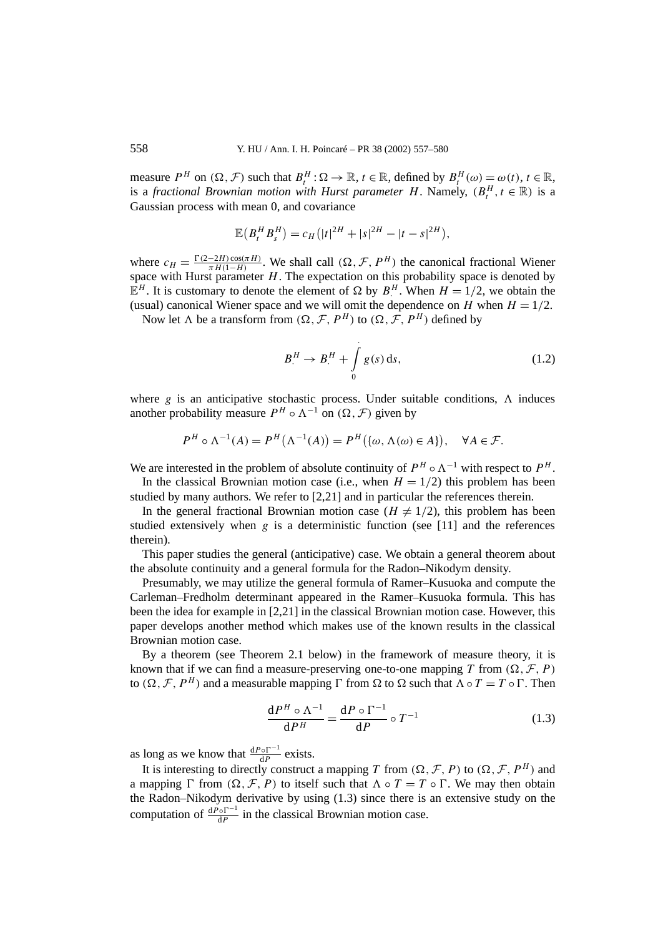measure  $P^H$  on  $(\Omega, \mathcal{F})$  such that  $B_t^H : \Omega \to \mathbb{R}$ ,  $t \in \mathbb{R}$ , defined by  $B_t^H(\omega) = \omega(t)$ ,  $t \in \mathbb{R}$ , is a *fractional Brownian motion with Hurst parameter <i>H*. Namely,  $(B_t^H, t \in \mathbb{R})$  is a Gaussian process with mean 0, and covariance

$$
\mathbb{E}\big(B_t^H B_s^H\big) = c_H\big(|t|^{2H} + |s|^{2H} - |t-s|^{2H}\big),
$$

where  $c_H = \frac{\Gamma(2-2H)\cos(\pi H)}{\pi H(1-H)}$ . We shall call  $(\Omega, \mathcal{F}, P^H)$  the canonical fractional Wiener space with Hurst parameter *H*. The expectation on this probability space is denoted by  $\mathbb{E}^H$ . It is customary to denote the element of  $\Omega$  by  $B^H$ . When  $H = 1/2$ , we obtain the (usual) canonical Wiener space and we will omit the dependence on *H* when  $H = 1/2$ .

Now let  $\Lambda$  be a transform from  $(\Omega, \mathcal{F}, P^H)$  to  $(\Omega, \mathcal{F}, P^H)$  defined by

$$
B^H \to B^H + \int_0^1 g(s) \, \mathrm{d}s,\tag{1.2}
$$

where  $g$  is an anticipative stochastic process. Under suitable conditions,  $\Lambda$  induces another probability measure  $P^H \circ \Lambda^{-1}$  on  $(\Omega, \mathcal{F})$  given by

$$
P^H \circ \Lambda^{-1}(A) = P^H(\Lambda^{-1}(A)) = P^H(\{\omega, \Lambda(\omega) \in A\}), \quad \forall A \in \mathcal{F}.
$$

We are interested in the problem of absolute continuity of  $P^H \circ \Lambda^{-1}$  with respect to  $P^H$ . In the classical Brownian motion case (i.e., when  $H = 1/2$ ) this problem has been

studied by many authors. We refer to [2,21] and in particular the references therein.

In the general fractional Brownian motion case ( $H \neq 1/2$ ), this problem has been studied extensively when  $g$  is a deterministic function (see [11] and the references therein).

This paper studies the general (anticipative) case. We obtain a general theorem about the absolute continuity and a general formula for the Radon–Nikodym density.

Presumably, we may utilize the general formula of Ramer–Kusuoka and compute the Carleman–Fredholm determinant appeared in the Ramer–Kusuoka formula. This has been the idea for example in [2,21] in the classical Brownian motion case. However, this paper develops another method which makes use of the known results in the classical Brownian motion case.

By a theorem (see Theorem 2.1 below) in the framework of measure theory, it is known that if we can find a measure-preserving one-to-one mapping *T* from  $(\Omega, \mathcal{F}, P)$ to  $(\Omega, \mathcal{F}, P^H)$  and a measurable mapping  $\Gamma$  from  $\Omega$  to  $\Omega$  such that  $\Lambda \circ T = T \circ \Gamma$ . Then

$$
\frac{\mathrm{d}P^H \circ \Lambda^{-1}}{\mathrm{d}P^H} = \frac{\mathrm{d}P \circ \Gamma^{-1}}{\mathrm{d}P} \circ T^{-1} \tag{1.3}
$$

as long as we know that  $\frac{dP \circ \Gamma^{-1}}{dP}$  exists.

It is interesting to directly construct a mapping *T* from  $(\Omega, \mathcal{F}, P)$  to  $(\Omega, \mathcal{F}, P^H)$  and a mapping  $\Gamma$  from  $(\Omega, \mathcal{F}, P)$  to itself such that  $\Lambda \circ T = T \circ \Gamma$ . We may then obtain the Radon–Nikodym derivative by using (1.3) since there is an extensive study on the computation of  $\frac{dP \circ \Gamma^{-1}}{dP}$  in the classical Brownian motion case.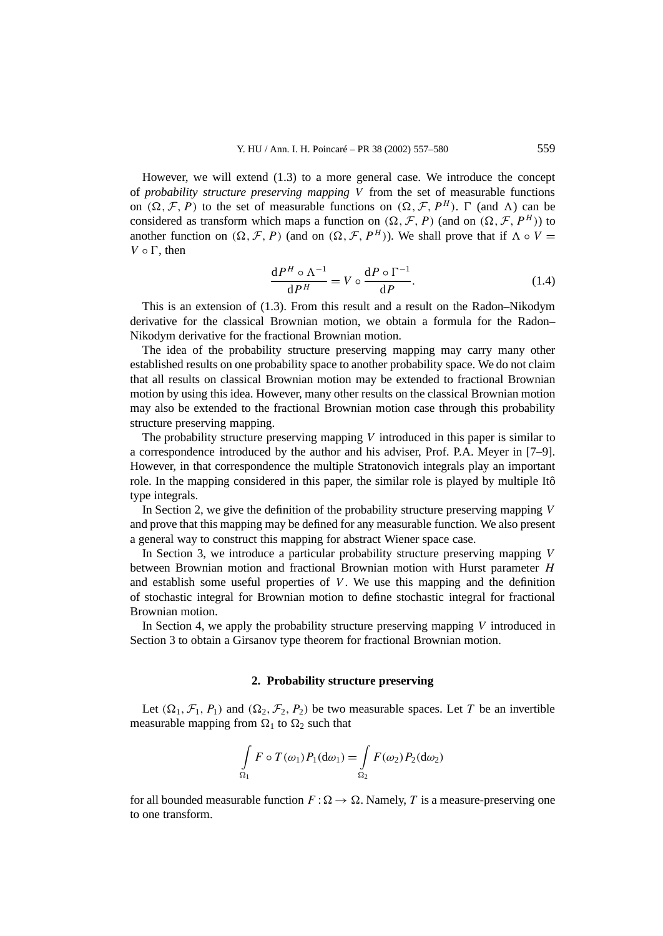However, we will extend (1.3) to a more general case. We introduce the concept of *probability structure preserving mapping V* from the set of measurable functions on  $(\Omega, \mathcal{F}, P)$  to the set of measurable functions on  $(\Omega, \mathcal{F}, P^H)$ .  $\Gamma$  (and  $\Lambda$ ) can be considered as transform which maps a function on  $(\Omega, \mathcal{F}, P)$  (and on  $(\Omega, \mathcal{F}, P^H)$ ) to another function on  $(\Omega, \mathcal{F}, P)$  (and on  $(\Omega, \mathcal{F}, P^H)$ ). We shall prove that if  $\Lambda \circ V =$  $V \circ \Gamma$ , then

$$
\frac{\mathrm{d}P^H \circ \Lambda^{-1}}{\mathrm{d}P^H} = V \circ \frac{\mathrm{d}P \circ \Gamma^{-1}}{\mathrm{d}P}.\tag{1.4}
$$

This is an extension of (1.3). From this result and a result on the Radon–Nikodym derivative for the classical Brownian motion, we obtain a formula for the Radon– Nikodym derivative for the fractional Brownian motion.

The idea of the probability structure preserving mapping may carry many other established results on one probability space to another probability space. We do not claim that all results on classical Brownian motion may be extended to fractional Brownian motion by using this idea. However, many other results on the classical Brownian motion may also be extended to the fractional Brownian motion case through this probability structure preserving mapping.

The probability structure preserving mapping *V* introduced in this paper is similar to a correspondence introduced by the author and his adviser, Prof. P.A. Meyer in [7–9]. However, in that correspondence the multiple Stratonovich integrals play an important role. In the mapping considered in this paper, the similar role is played by multiple Itô type integrals.

In Section 2, we give the definition of the probability structure preserving mapping *V* and prove that this mapping may be defined for any measurable function. We also present a general way to construct this mapping for abstract Wiener space case.

In Section 3, we introduce a particular probability structure preserving mapping *V* between Brownian motion and fractional Brownian motion with Hurst parameter *H* and establish some useful properties of *V* . We use this mapping and the definition of stochastic integral for Brownian motion to define stochastic integral for fractional Brownian motion.

In Section 4, we apply the probability structure preserving mapping *V* introduced in Section 3 to obtain a Girsanov type theorem for fractional Brownian motion.

# **2. Probability structure preserving**

Let  $(\Omega_1, \mathcal{F}_1, P_1)$  and  $(\Omega_2, \mathcal{F}_2, P_2)$  be two measurable spaces. Let *T* be an invertible measurable mapping from  $\Omega_1$  to  $\Omega_2$  such that

$$
\int_{\Omega_1} F \circ T(\omega_1) P_1(d\omega_1) = \int_{\Omega_2} F(\omega_2) P_2(d\omega_2)
$$

for all bounded measurable function  $F : \Omega \to \Omega$ . Namely, *T* is a measure-preserving one to one transform.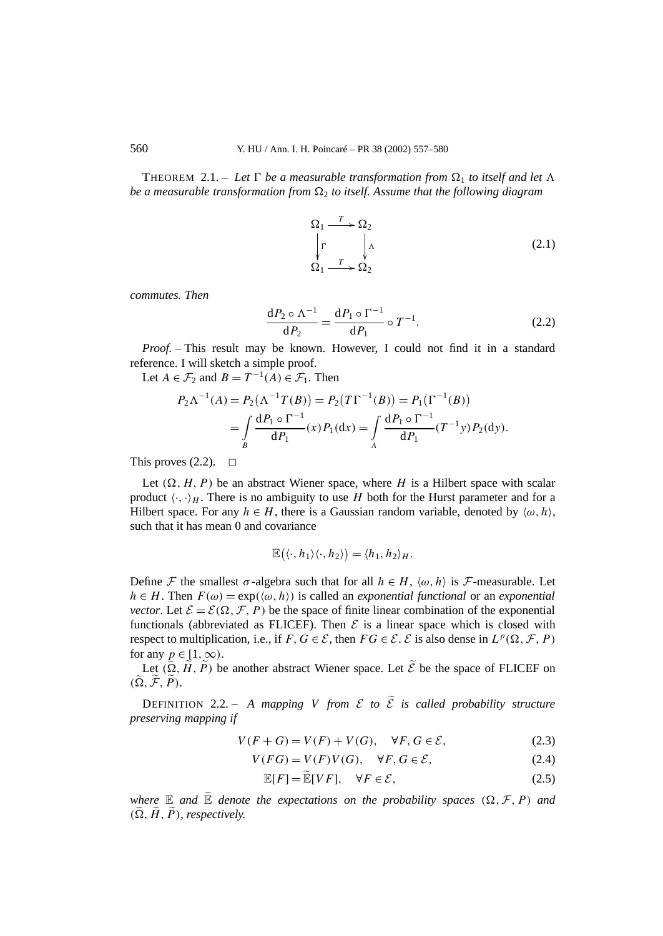THEOREM 2.1. – Let  $\Gamma$  be a measurable transformation from  $\Omega_1$  to itself and let  $\Lambda$ *be a measurable transformation from*  $\Omega$ <sub>2</sub> *to itself. Assume that the following diagram* 

$$
\Omega_1 \xrightarrow{T} \Omega_2
$$
\n
$$
\downarrow \Gamma \qquad \downarrow \Lambda
$$
\n
$$
\Omega_1 \xrightarrow{T} \Omega_2
$$
\n(2.1)

*commutes. Then*

$$
\frac{\mathrm{d}P_2 \circ \Lambda^{-1}}{\mathrm{d}P_2} = \frac{\mathrm{d}P_1 \circ \Gamma^{-1}}{\mathrm{d}P_1} \circ T^{-1}.\tag{2.2}
$$

*Proof. –* This result may be known. However, I could not find it in a standard reference. I will sketch a simple proof.

Let  $A \in \mathcal{F}_2$  and  $B = T^{-1}(A) \in \mathcal{F}_1$ . Then

$$
P_2 \Lambda^{-1}(A) = P_2(\Lambda^{-1} T(B)) = P_2(T\Gamma^{-1}(B)) = P_1(\Gamma^{-1}(B))
$$
  
= 
$$
\int_{B} \frac{dP_1 \circ \Gamma^{-1}}{dP_1}(x) P_1(dx) = \int_{A} \frac{dP_1 \circ \Gamma^{-1}}{dP_1}(T^{-1}y) P_2(dy).
$$

This proves  $(2.2)$ .  $\Box$ 

Let  $(\Omega, H, P)$  be an abstract Wiener space, where *H* is a Hilbert space with scalar product  $\langle \cdot, \cdot \rangle_H$ . There is no ambiguity to use *H* both for the Hurst parameter and for a Hilbert space. For any  $h \in H$ , there is a Gaussian random variable, denoted by  $\langle \omega, h \rangle$ , such that it has mean 0 and covariance

$$
\mathbb{E}(\langle \cdot, h_1 \rangle \langle \cdot, h_2 \rangle) = \langle h_1, h_2 \rangle_H.
$$

Define F the smallest  $\sigma$ -algebra such that for all  $h \in H$ ,  $\langle \omega, h \rangle$  is F-measurable. Let  $h \in H$ . Then  $F(\omega) = \exp(\langle \omega, h \rangle)$  is called an *exponential functional* or an *exponential vector.* Let  $\mathcal{E} = \mathcal{E}(\Omega, \mathcal{F}, P)$  be the space of finite linear combination of the exponential functionals (abbreviated as FLICEF). Then  $\mathcal E$  is a linear space which is closed with respect to multiplication, i.e., if  $F, G \in \mathcal{E}$ , then  $FG \in \mathcal{E}$ .  $\mathcal{E}$  is also dense in  $L^p(\Omega, \mathcal{F}, P)$ for any  $p \in [1, \infty)$ .

Let  $(\tilde{\Omega}, \tilde{H}, \tilde{P})$  be another abstract Wiener space. Let  $\tilde{\mathcal{E}}$  be the space of FLICEF on  $(\widetilde{\Omega}, \widetilde{\mathcal{F}}, \widetilde{P})$ .

DEFINITION 2.2. – A mapping *V* from  $\mathcal E$  to  $\widetilde{\mathcal E}$  is called probability structure *preserving mapping if*

$$
V(F+G) = V(F) + V(G), \quad \forall F, G \in \mathcal{E},
$$
\n
$$
(2.3)
$$

$$
V(FG) = V(F)V(G), \quad \forall F, G \in \mathcal{E}, \tag{2.4}
$$

$$
\mathbb{E}[F] = \widetilde{\mathbb{E}}[VF], \quad \forall F \in \mathcal{E}, \tag{2.5}
$$

*where*  $\mathbb E$  *and*  $\widetilde{\mathbb E}$  *denote the expectations on the probability spaces*  $(\Omega, \mathcal F, P)$  *and*  $(\Omega, H, P)$ , *respectively.*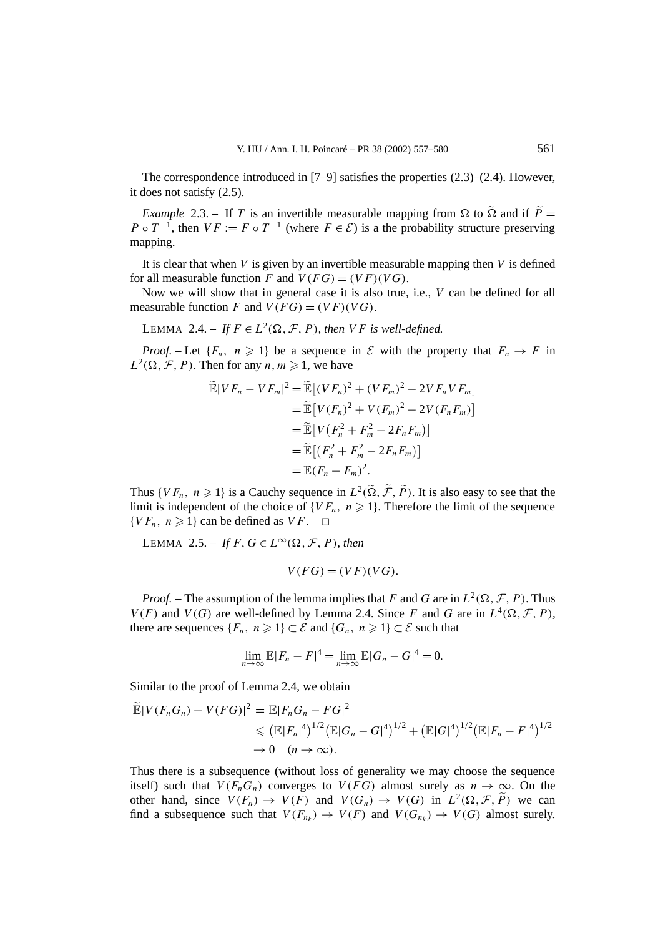The correspondence introduced in [7–9] satisfies the properties (2.3)–(2.4). However, it does not satisfy (2.5).

*Example* 2.3. – If *T* is an invertible measurable mapping from  $\Omega$  to  $\widetilde{\Omega}$  and if  $\widetilde{P}$  = *P*  $\circ$  *T* <sup>−1</sup>, then *VF* := *F*  $\circ$  *T*<sup>−1</sup> (where *F*  $\in$  *E*) is a the probability structure preserving mapping.

It is clear that when *V* is given by an invertible measurable mapping then *V* is defined for all measurable function *F* and  $V(FG) = (VF)(VG)$ .

Now we will show that in general case it is also true, i.e., *V* can be defined for all measurable function *F* and  $V(FG) = (VF)(VG)$ .

LEMMA 2.4. – *If*  $F \in L^2(\Omega, \mathcal{F}, P)$ *, then VF is well-defined.* 

*Proof.* – Let  ${F_n, n \geq 1}$  be a sequence in E with the property that  $F_n \to F$  in  $L^2(\Omega, \mathcal{F}, P)$ . Then for any *n*,  $m \ge 1$ , we have

$$
\widetilde{\mathbb{E}}|VF_n - VF_m|^2 = \widetilde{\mathbb{E}}[(VF_n)^2 + (VF_m)^2 - 2VF_nVF_m] \n= \widetilde{\mathbb{E}}[V(F_n)^2 + V(F_m)^2 - 2V(F_nF_m)] \n= \widetilde{\mathbb{E}}[V(F_n^2 + F_m^2 - 2F_nF_m)] \n= \widetilde{\mathbb{E}}[(F_n^2 + F_m^2 - 2F_nF_m)] \n= \mathbb{E}(F_n - F_m)^2.
$$

Thus  $\{VF_n, n \geq 1\}$  is a Cauchy sequence in  $L^2(\tilde{\Omega}, \tilde{\mathcal{F}}, \tilde{P})$ . It is also easy to see that the limit is independent of the choice of  $\{VF_n, n \geq 1\}$ . Therefore the limit of the sequence  $\{VF_n, n \geq 1\}$  can be defined as  $VF. \square$ 

LEMMA 2.5. – *If*  $F, G \in L^{\infty}(\Omega, \mathcal{F}, P)$ *, then* 

$$
V(FG) = (VF)(VG).
$$

*Proof.* – The assumption of the lemma implies that *F* and *G* are in  $L^2(\Omega, \mathcal{F}, P)$ . Thus  $V(F)$  and  $V(G)$  are well-defined by Lemma 2.4. Since *F* and *G* are in  $L^4(\Omega, \mathcal{F}, P)$ , there are sequences  $\{F_n, n \geq 1\} \subset \mathcal{E}$  and  $\{G_n, n \geq 1\} \subset \mathcal{E}$  such that

$$
\lim_{n\to\infty} \mathbb{E}|F_n - F|^4 = \lim_{n\to\infty} \mathbb{E}|G_n - G|^4 = 0.
$$

Similar to the proof of Lemma 2.4, we obtain

$$
\widetilde{\mathbb{E}}|V(F_nG_n) - V(FG)|^2 = \mathbb{E}|F_nG_n - FG|^2
$$
  
\n
$$
\leq (\mathbb{E}|F_n|^4)^{1/2} (\mathbb{E}|G_n - G|^4)^{1/2} + (\mathbb{E}|G|^4)^{1/2} (\mathbb{E}|F_n - F|^4)^{1/2}
$$
  
\n
$$
\to 0 \quad (n \to \infty).
$$

Thus there is a subsequence (without loss of generality we may choose the sequence itself) such that  $V(F_nG_n)$  converges to  $V(FG)$  almost surely as  $n \to \infty$ . On the other hand, since  $V(F_n) \to V(F)$  and  $V(G_n) \to V(G)$  in  $L^2(\Omega, \mathcal{F}, \widetilde{P})$  we can find a subsequence such that  $V(F_{n_k}) \to V(F)$  and  $V(G_{n_k}) \to V(G)$  almost surely.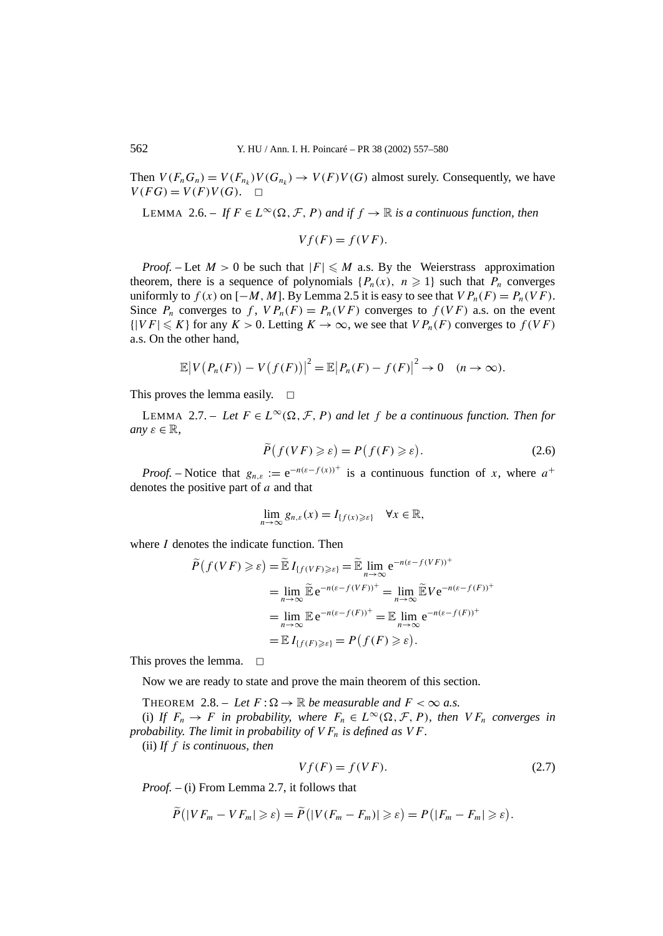Then  $V(F_nG_n) = V(F_{n_k})V(G_{n_k}) \rightarrow V(F)V(G)$  almost surely. Consequently, we have  $V(FG) = V(F)V(G)$ .  $\Box$ 

LEMMA 2.6. – If  $F \in L^{\infty}(\Omega, \mathcal{F}, P)$  and if  $f \to \mathbb{R}$  is a continuous function, then

$$
Vf(F) = f(VF).
$$

*Proof.* – Let  $M > 0$  be such that  $|F| \le M$  a.s. By the Weierstrass approximation theorem, there is a sequence of polynomials  $\{P_n(x), n \geq 1\}$  such that  $P_n$  converges uniformly to  $f(x)$  on  $[-M, M]$ . By Lemma 2.5 it is easy to see that  $VP_n(F) = P_n(VF)$ . Since  $P_n$  converges to  $f$ ,  $VP_n(F) = P_n(VF)$  converges to  $f(VF)$  a.s. on the event  ${|VF| \leq K}$  for any  $K > 0$ . Letting  $K \to \infty$ , we see that  $VP_n(F)$  converges to  $f(VF)$ a.s. On the other hand,

$$
\mathbb{E}\big|V(P_n(F)) - V\big(f(F)\big)\big|^2 = \mathbb{E}\big|P_n(F) - f(F)\big|^2 \to 0 \quad (n \to \infty).
$$

This proves the lemma easily.  $\square$ 

LEMMA 2.7. – Let  $F \in L^{\infty}(\Omega, \mathcal{F}, P)$  and let f be a continuous function. Then for *any*  $\varepsilon \in \mathbb{R}$ ,

$$
\widetilde{P}(f(VF) \geq \varepsilon) = P(f(F) \geq \varepsilon). \tag{2.6}
$$

*Proof.* – Notice that  $g_{n,\varepsilon} := e^{-n(\varepsilon - f(x))^+}$  is a continuous function of *x*, where  $a^+$ denotes the positive part of *a* and that

$$
\lim_{n\to\infty}g_{n,\varepsilon}(x)=I_{\{f(x)\geqslant\varepsilon\}}\quad\forall x\in\mathbb{R},
$$

where *I* denotes the indicate function. Then

$$
\widetilde{P}(f(VF) \ge \varepsilon) = \widetilde{\mathbb{E}} I_{\{f(VF) \ge \varepsilon\}} = \widetilde{\mathbb{E}} \lim_{n \to \infty} e^{-n(\varepsilon - f(VF))^+}
$$
\n
$$
= \lim_{n \to \infty} \widetilde{\mathbb{E}} e^{-n(\varepsilon - f(VF))^+} = \lim_{n \to \infty} \widetilde{\mathbb{E}} V e^{-n(\varepsilon - f(F))^+}
$$
\n
$$
= \lim_{n \to \infty} \mathbb{E} e^{-n(\varepsilon - f(F))^+} = \mathbb{E} \lim_{n \to \infty} e^{-n(\varepsilon - f(F))^+}
$$
\n
$$
= \mathbb{E} I_{\{f(F) \ge \varepsilon\}} = P(f(F) \ge \varepsilon).
$$

This proves the lemma.  $\Box$ 

Now we are ready to state and prove the main theorem of this section.

THEOREM 2.8. – Let  $F : \Omega \to \mathbb{R}$  be measurable and  $F < \infty$  a.s. (i) If  $F_n \to F$  in probability, where  $F_n \in L^{\infty}(\Omega, \mathcal{F}, P)$ , then  $VF_n$  converges in *probability. The limit in probability of*  $VF_n$  *is defined as*  $VF$ *.* 

(ii) *If f is continuous, then*

$$
Vf(F) = f(VF). \tag{2.7}
$$

*Proof. –* (i) From Lemma 2.7, it follows that

$$
\widetilde{P}(|VF_m - VF_m| \geqslant \varepsilon) = \widetilde{P}(|V(F_m - F_m)| \geqslant \varepsilon) = P(|F_m - F_m| \geqslant \varepsilon).
$$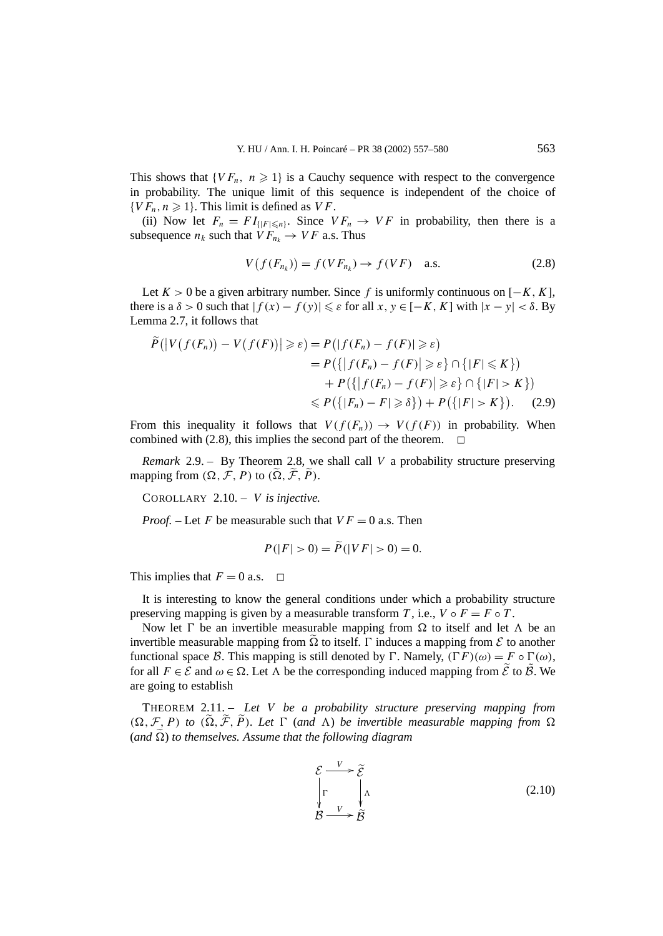This shows that  $\{VF_n, n \geq 1\}$  is a Cauchy sequence with respect to the convergence in probability. The unique limit of this sequence is independent of the choice of  $\{VF_n, n \geq 1\}$ . This limit is defined as *VF*.

(ii) Now let  $F_n = FI_{\{|F|\leq n\}}$ . Since  $VF_n \to VF$  in probability, then there is a subsequence  $n_k$  such that  $VF_{n_k} \rightarrow VF$  a.s. Thus

$$
V(f(F_{n_k})) = f(VF_{n_k}) \rightarrow f(VF) \quad \text{a.s.}
$$
 (2.8)

Let  $K > 0$  be a given arbitrary number. Since *f* is uniformly continuous on  $[-K, K]$ , there is a  $\delta > 0$  such that  $|f(x) - f(y)| \le \varepsilon$  for all  $x, y \in [-K, K]$  with  $|x - y| < \delta$ . By Lemma 2.7, it follows that

$$
\widetilde{P}(|V(f(F_n)) - V(f(F))| \ge \varepsilon) = P(|f(F_n) - f(F)| \ge \varepsilon)
$$
\n
$$
= P(\{|f(F_n) - f(F)| \ge \varepsilon\} \cap \{|F| \le K\})
$$
\n
$$
+ P(\{|f(F_n) - f(F)| \ge \varepsilon\} \cap \{|F| > K\})
$$
\n
$$
\le P(\{|F_n) - F| \ge \delta\}) + P(\{|F| > K\}). \tag{2.9}
$$

From this inequality it follows that  $V(f(F_n)) \to V(f(F))$  in probability. When combined with (2.8), this implies the second part of the theorem.  $\Box$ 

*Remark* 2.9. – By Theorem 2.8, we shall call *V* a probability structure preserving mapping from  $(\Omega, \mathcal{F}, P)$  to  $(\tilde{\Omega}, \tilde{\mathcal{F}}, \tilde{P})$ .

COROLLARY 2.10. – *V is injective.*

*Proof.* – Let *F* be measurable such that  $VF = 0$  a.s. Then

$$
P(|F| > 0) = P(|VF| > 0) = 0.
$$

This implies that  $F = 0$  a.s.  $\Box$ 

It is interesting to know the general conditions under which a probability structure preserving mapping is given by a measurable transform *T*, i.e.,  $V \circ F = F \circ T$ .

Now let  $\Gamma$  be an invertible measurable mapping from  $\Omega$  to itself and let  $\Lambda$  be an invertible measurable mapping from  $\Omega$  to itself.  $\Gamma$  induces a mapping from  $\mathcal E$  to another functional space B. This mapping is still denoted by  $\Gamma$ . Namely,  $(\Gamma F)(\omega) = F \circ \Gamma(\omega)$ , for all  $F \in \mathcal{E}$  and  $\omega \in \Omega$ . Let  $\Lambda$  be the corresponding induced mapping from  $\tilde{\mathcal{E}}$  to  $\tilde{\mathcal{B}}$ . We are going to establish

THEOREM 2.11. – *Let V be a probability structure preserving mapping from*  $(\Omega, \mathcal{F}, P)$  *to*  $(\widetilde{\Omega}, \widetilde{\mathcal{F}}, \widetilde{P})$ *. Let*  $\Gamma$  (and  $\Lambda$ ) be invertible measurable mapping from  $\Omega$  $(and \Omega)$  to themselves. Assume that the following diagram

$$
\mathcal{E} \xrightarrow{V} \widetilde{\mathcal{E}} \n\Gamma \qquad \downarrow \Lambda \n\mathcal{B} \longrightarrow \widetilde{\mathcal{B}} \tag{2.10}
$$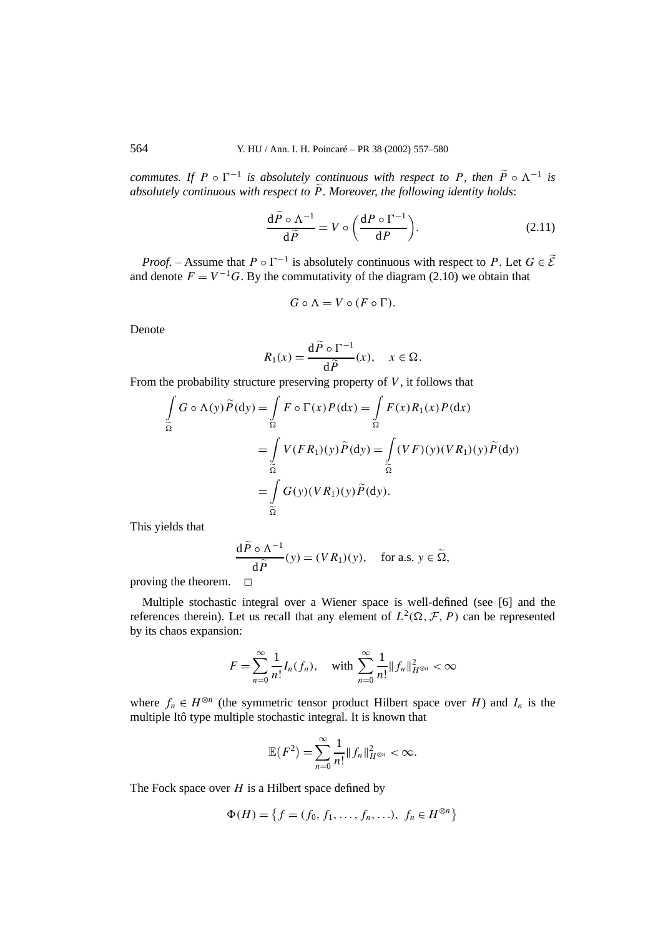*commutes. If*  $P \circ \Gamma^{-1}$  *is absolutely continuous with respect to*  $P$ *, then*  $\widetilde{P} \circ \Lambda^{-1}$  *is absolutely continuous with respect to P. Moreover, the following identity holds*:

$$
\frac{\mathrm{d}\tilde{P}\circ\Lambda^{-1}}{\mathrm{d}\tilde{P}}=V\circ\left(\frac{\mathrm{d}P\circ\Gamma^{-1}}{\mathrm{d}P}\right).
$$
 (2.11)

*Proof.* – Assume that  $P \circ \Gamma^{-1}$  is absolutely continuous with respect to P. Let  $G \in \widetilde{\mathcal{E}}$ and denote  $F = V^{-1}G$ . By the commutativity of the diagram (2.10) we obtain that

$$
G \circ \Lambda = V \circ (F \circ \Gamma).
$$

Denote

$$
R_1(x) = \frac{\mathrm{d}\widetilde{P} \circ \Gamma^{-1}}{\mathrm{d}\widetilde{P}}(x), \quad x \in \Omega.
$$

From the probability structure preserving property of *V* , it follows that

$$
\int_{\widetilde{\Omega}} G \circ \Lambda(y) \widetilde{P}(dy) = \int_{\Omega} F \circ \Gamma(x) P(dx) = \int_{\Omega} F(x) R_1(x) P(dx)
$$

$$
= \int_{\widetilde{\Omega}} V(FR_1)(y) \widetilde{P}(dy) = \int_{\widetilde{\Omega}} (VF)(y) (VR_1)(y) \widetilde{P}(dy)
$$

$$
= \int_{\widetilde{\Omega}} G(y) (VR_1)(y) \widetilde{P}(dy).
$$

This yields that

$$
\frac{\mathrm{d}\widetilde{P}\circ\Lambda^{-1}}{\mathrm{d}\widetilde{P}}(y)=(VR_1)(y),\quad\text{for a.s. }y\in\widetilde{\Omega},
$$

proving the theorem.  $\square$ 

Multiple stochastic integral over a Wiener space is well-defined (see [6] and the references therein). Let us recall that any element of  $L^2(\Omega, \mathcal{F}, P)$  can be represented by its chaos expansion:

$$
F = \sum_{n=0}^{\infty} \frac{1}{n!} I_n(f_n), \quad \text{with } \sum_{n=0}^{\infty} \frac{1}{n!} \|f_n\|_{H^{\otimes n}}^2 < \infty
$$

where  $f_n \in H^{\otimes n}$  (the symmetric tensor product Hilbert space over *H*) and  $I_n$  is the multiple Itô type multiple stochastic integral. It is known that

$$
\mathbb{E}(F^2) = \sum_{n=0}^{\infty} \frac{1}{n!} ||f_n||_{H^{\otimes n}}^2 < \infty.
$$

The Fock space over *H* is a Hilbert space defined by

$$
\Phi(H) = \{ f = (f_0, f_1, \dots, f_n, \dots), \ f_n \in H^{\otimes n} \}
$$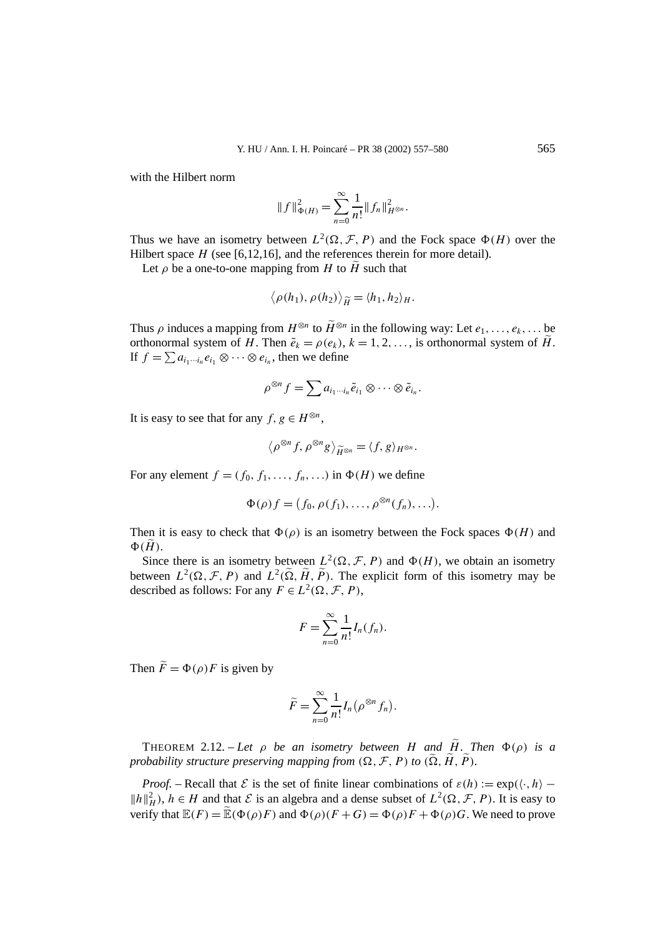with the Hilbert norm

$$
||f||_{\Phi(H)}^2 = \sum_{n=0}^{\infty} \frac{1}{n!} ||f_n||_{H^{\otimes n}}^2.
$$

Thus we have an isometry between  $L^2(\Omega, \mathcal{F}, P)$  and the Fock space  $\Phi(H)$  over the Hilbert space *H* (see [6,12,16], and the references therein for more detail).

Let  $\rho$  be a one-to-one mapping from *H* to  $\widetilde{H}$  such that

$$
\langle \rho(h_1), \rho(h_2) \rangle_{\widetilde{H}} = \langle h_1, h_2 \rangle_H.
$$

Thus  $\rho$  induces a mapping from  $H^{\otimes n}$  to  $\widetilde{H}^{\otimes n}$  in the following way: Let  $e_1, \ldots, e_k, \ldots$  be orthonormal system of *H*. Then  $\tilde{e}_k = \rho(e_k)$ ,  $k = 1, 2, \ldots$ , is orthonormal system of  $\tilde{H}$ . If  $f = \sum a_{i_1 \cdots i_n} e_{i_1} \otimes \cdots \otimes e_{i_n}$ , then we define

$$
\rho^{\otimes n} f = \sum a_{i_1 \cdots i_n} \tilde{e}_{i_1} \otimes \cdots \otimes \tilde{e}_{i_n}.
$$

It is easy to see that for any  $f, g \in H^{\otimes n}$ ,

$$
\langle \rho^{\otimes n} f, \rho^{\otimes n} g \rangle_{\widetilde{H}^{\otimes n}} = \langle f, g \rangle_{H^{\otimes n}}.
$$

For any element  $f = (f_0, f_1, \ldots, f_n, \ldots)$  in  $\Phi(H)$  we define

$$
\Phi(\rho)f = (f_0, \rho(f_1), \ldots, \rho^{\otimes n}(f_n), \ldots).
$$

Then it is easy to check that  $\Phi(\rho)$  is an isometry between the Fock spaces  $\Phi(H)$  and  $\Phi(\tilde{H})$ .

Since there is an isometry between  $L^2(\Omega, \mathcal{F}, P)$  and  $\Phi(H)$ , we obtain an isometry between  $L^2(\Omega, \mathcal{F}, P)$  and  $L^2(\tilde{\Omega}, \tilde{H}, \tilde{P})$ . The explicit form of this isometry may be described as follows: For any  $F \in L^2(\Omega, \mathcal{F}, P)$ ,

$$
F=\sum_{n=0}^{\infty}\frac{1}{n!}I_n(f_n).
$$

Then  $\tilde{F} = \Phi(\rho) F$  is given by

$$
\widetilde{F}=\sum_{n=0}^{\infty}\frac{1}{n!}I_n(\rho^{\otimes n}f_n).
$$

THEOREM 2.12. – Let  $\rho$  be an isometry between H and  $\widetilde{H}$ . Then  $\Phi(\rho)$  is a *probability structure preserving mapping from*  $(\Omega, \mathcal{F}, P)$  *to*  $(\tilde{\Omega}, \tilde{H}, \tilde{P})$ *.* 

*Proof.* – Recall that  $\mathcal{E}$  is the set of finite linear combinations of  $\varepsilon(h) := \exp(\langle \cdot, h \rangle ||h||_H^2$ ,  $h \in H$  and that  $\mathcal E$  is an algebra and a dense subset of  $L^2(\Omega, \mathcal F, P)$ . It is easy to verify that  $\mathbb{E}(F) = \mathbb{E}(\Phi(\rho)F)$  and  $\Phi(\rho)(F+G) = \Phi(\rho)F + \Phi(\rho)G$ . We need to prove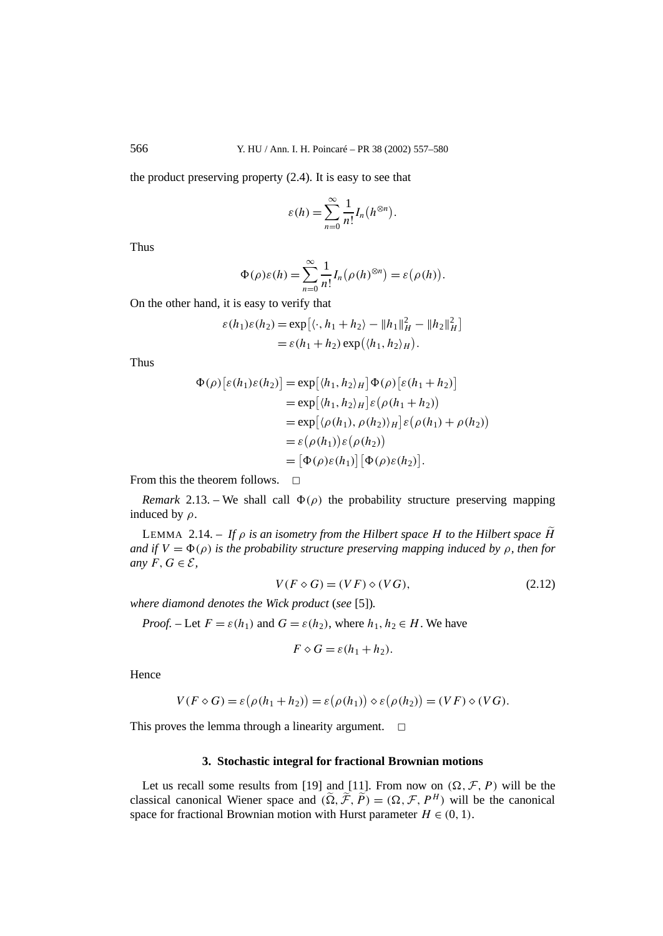the product preserving property (2.4). It is easy to see that

$$
\varepsilon(h) = \sum_{n=0}^{\infty} \frac{1}{n!} I_n(h^{\otimes n}).
$$

Thus

$$
\Phi(\rho)\varepsilon(h) = \sum_{n=0}^{\infty} \frac{1}{n!} I_n(\rho(h)^{\otimes n}) = \varepsilon(\rho(h)).
$$

On the other hand, it is easy to verify that

$$
\varepsilon(h_1)\varepsilon(h_2) = \exp\left[\langle \cdot, h_1 + h_2 \rangle - \|h_1\|_H^2 - \|h_2\|_H^2\right]
$$
  
=  $\varepsilon(h_1 + h_2) \exp(\langle h_1, h_2 \rangle_H).$ 

Thus

$$
\Phi(\rho)[\varepsilon(h_1)\varepsilon(h_2)] = \exp[(h_1, h_2)_H] \Phi(\rho)[\varepsilon(h_1 + h_2)]
$$
  
\n
$$
= \exp[(h_1, h_2)_H] \varepsilon(\rho(h_1 + h_2))
$$
  
\n
$$
= \exp[(\rho(h_1), \rho(h_2))_H] \varepsilon(\rho(h_1) + \rho(h_2))
$$
  
\n
$$
= \varepsilon(\rho(h_1)) \varepsilon(\rho(h_2))
$$
  
\n
$$
= [\Phi(\rho)\varepsilon(h_1)] [\Phi(\rho)\varepsilon(h_2)].
$$

From this the theorem follows.  $\Box$ 

*Remark* 2.13. – We shall call  $\Phi(\rho)$  the probability structure preserving mapping induced by *ρ*.

LEMMA 2.14. – *If ρ is an isometry from the Hilbert space H to the Hilbert space H and if*  $V = \Phi(\rho)$  *is the probability structure preserving mapping induced by*  $\rho$ *, then for any*  $F, G \in \mathcal{E}$ *,* 

$$
V(F \diamond G) = (VF) \diamond (VG), \tag{2.12}
$$

*where diamond denotes the Wick product* (*see* [5])*.*

*Proof.* – Let  $F = \varepsilon(h_1)$  and  $G = \varepsilon(h_2)$ , where  $h_1, h_2 \in H$ . We have

$$
F \diamond G = \varepsilon (h_1 + h_2).
$$

Hence

$$
V(F \diamond G) = \varepsilon (\rho (h_1 + h_2)) = \varepsilon (\rho (h_1)) \diamond \varepsilon (\rho (h_2)) = (VF) \diamond (VG).
$$

This proves the lemma through a linearity argument.  $\Box$ 

#### **3. Stochastic integral for fractional Brownian motions**

Let us recall some results from [19] and [11]. From now on  $(\Omega, \mathcal{F}, P)$  will be the classical canonical Wiener space and  $(\tilde{\Omega}, \tilde{\mathcal{F}}, \tilde{P}) = (\Omega, \mathcal{F}, P^H)$  will be the canonical space for fractional Brownian motion with Hurst parameter  $H \in (0, 1)$ .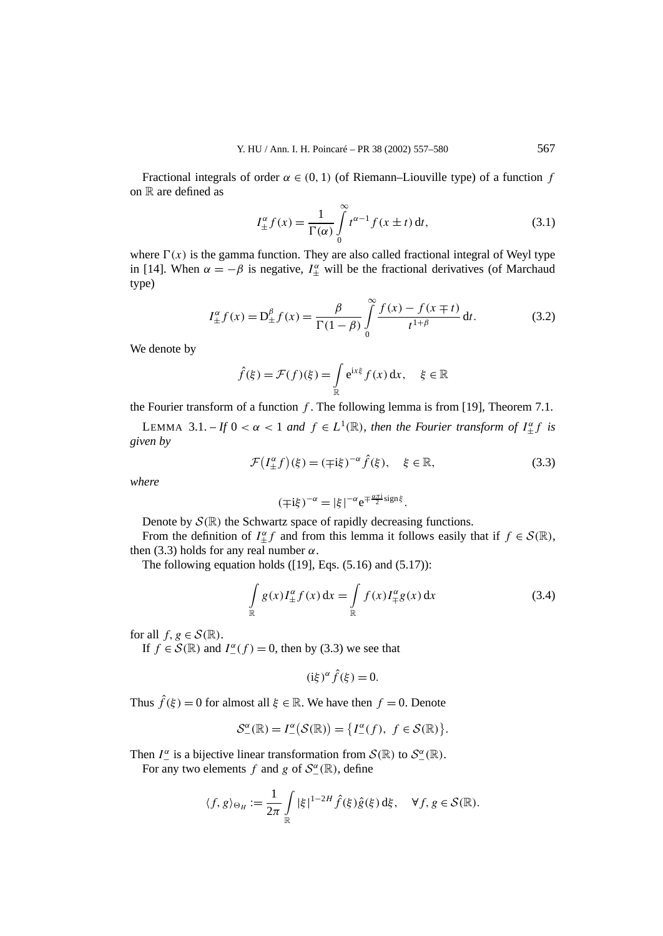Fractional integrals of order  $\alpha \in (0, 1)$  (of Riemann–Liouville type) of a function *f* on  $\mathbb R$  are defined as

$$
I_{\pm}^{\alpha} f(x) = \frac{1}{\Gamma(\alpha)} \int_{0}^{\infty} t^{\alpha - 1} f(x \pm t) dt,
$$
 (3.1)

where  $\Gamma(x)$  is the gamma function. They are also called fractional integral of Weyl type in [14]. When  $\alpha = -\beta$  is negative,  $I_{\pm}^{\alpha}$  will be the fractional derivatives (of Marchaud type)

$$
I_{\pm}^{\alpha} f(x) = D_{\pm}^{\beta} f(x) = \frac{\beta}{\Gamma(1-\beta)} \int_{0}^{\infty} \frac{f(x) - f(x \mp t)}{t^{1+\beta}} dt.
$$
 (3.2)

We denote by

$$
\hat{f}(\xi) = \mathcal{F}(f)(\xi) = \int_{\mathbb{R}} e^{ix\xi} f(x) dx, \quad \xi \in \mathbb{R}
$$

the Fourier transform of a function *f* . The following lemma is from [19], Theorem 7.1.

LEMMA 3.1. – *If*  $0 < \alpha < 1$  *and*  $f \in L^1(\mathbb{R})$ *, then the Fourier transform of*  $I_{\pm}^{\alpha} f$  *is given by*

$$
\mathcal{F}(I_{\pm}^{\alpha}f)(\xi) = (\mp i\xi)^{-\alpha}\hat{f}(\xi), \quad \xi \in \mathbb{R}, \tag{3.3}
$$

*where*

$$
(\mp i\xi)^{-\alpha} = |\xi|^{-\alpha} e^{\mp \frac{\alpha \pi i}{2} sign \xi}.
$$

Denote by  $\mathcal{S}(\mathbb{R})$  the Schwartz space of rapidly decreasing functions.

From the definition of  $I_{\pm}^{\alpha} f$  and from this lemma it follows easily that if  $f \in \mathcal{S}(\mathbb{R})$ , then (3.3) holds for any real number  $\alpha$ .

The following equation holds  $([19], Eqs. (5.16)$  and  $(5.17)$ :

$$
\int_{\mathbb{R}} g(x) I_{\pm}^{\alpha} f(x) dx = \int_{\mathbb{R}} f(x) I_{\mp}^{\alpha} g(x) dx
$$
\n(3.4)

for all  $f, g \in \mathcal{S}(\mathbb{R})$ .

If  $f \in \mathcal{S}(\mathbb{R})$  and  $I^{\alpha}_{-}(f) = 0$ , then by (3.3) we see that

$$
(\mathrm{i}\xi)^{\alpha}\hat{f}(\xi)=0.
$$

Thus  $\hat{f}(\xi) = 0$  for almost all  $\xi \in \mathbb{R}$ . We have then  $f = 0$ . Denote

$$
\mathcal{S}_{-}^{\alpha}(\mathbb{R})=I_{-}^{\alpha}(\mathcal{S}(\mathbb{R}))=\big\{I_{-}^{\alpha}(f),\ f\in\mathcal{S}(\mathbb{R})\big\}.
$$

Then  $I_{-}^{\alpha}$  is a bijective linear transformation from  $S(\mathbb{R})$  to  $S_{-}^{\alpha}(\mathbb{R})$ .

For any two elements *f* and *g* of  $S^{\alpha}_{-}(\mathbb{R})$ , define

$$
\langle f, g \rangle_{\Theta_H} := \frac{1}{2\pi} \int\limits_{\mathbb{R}} |\xi|^{1-2H} \hat{f}(\xi) \hat{g}(\xi) d\xi, \quad \forall f, g \in \mathcal{S}(\mathbb{R}).
$$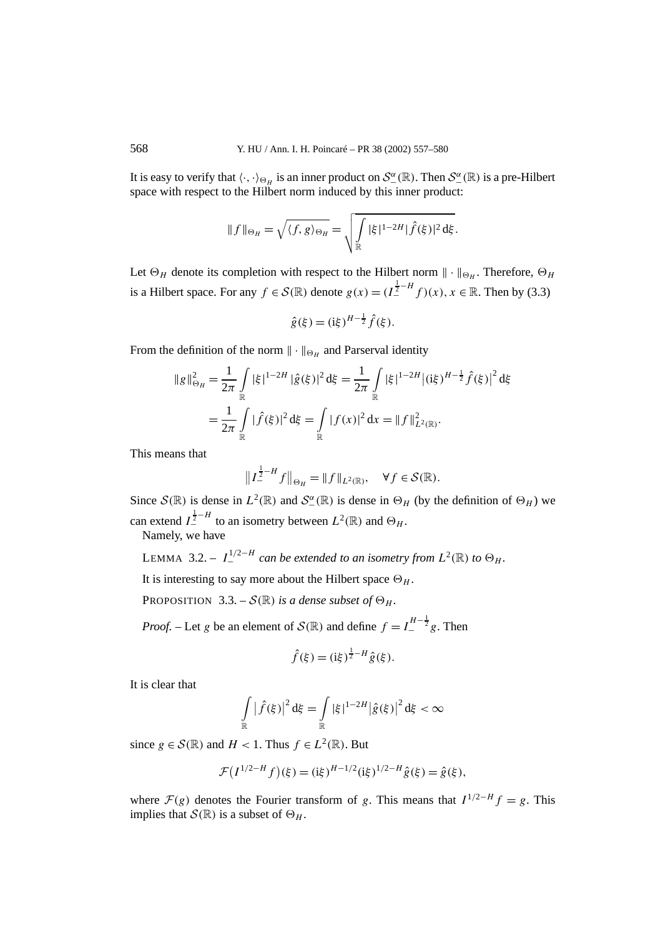It is easy to verify that  $\langle \cdot, \cdot \rangle_{\Theta_H}$  is an inner product on  $\mathcal{S}_{-}^{\alpha}(\mathbb{R})$ . Then  $\mathcal{S}_{-}^{\alpha}(\mathbb{R})$  is a pre-Hilbert space with respect to the Hilbert norm induced by this inner product:

$$
\|f\|_{\Theta_H} = \sqrt{\langle f, g \rangle_{\Theta_H}} = \sqrt{\int_{\mathbb{R}} |\xi|^{1-2H} |\hat{f}(\xi)|^2 d\xi}.
$$

Let  $\Theta_H$  denote its completion with respect to the Hilbert norm  $\|\cdot\|_{\Theta_H}$ . Therefore,  $\Theta_H$ is a Hilbert space. For any  $f \in \mathcal{S}(\mathbb{R})$  denote  $g(x) = (I_+^{\frac{1}{2}-H} f)(x), x \in \mathbb{R}$ . Then by (3.3)

$$
\hat{g}(\xi) = (\mathrm{i}\xi)^{H-\frac{1}{2}}\hat{f}(\xi).
$$

From the definition of the norm  $\|\cdot\|_{\Theta_H}$  and Parserval identity

$$
\|g\|_{\Theta_H}^2 = \frac{1}{2\pi} \int\limits_{\mathbb{R}} |\xi|^{1-2H} |\hat{g}(\xi)|^2 d\xi = \frac{1}{2\pi} \int\limits_{\mathbb{R}} |\xi|^{1-2H} |(i\xi)^{H-\frac{1}{2}} \hat{f}(\xi)|^2 d\xi
$$
  
= 
$$
\frac{1}{2\pi} \int\limits_{\mathbb{R}} |\hat{f}(\xi)|^2 d\xi = \int\limits_{\mathbb{R}} |f(x)|^2 dx = \|f\|_{L^2(\mathbb{R})}^2.
$$

This means that

$$
\|I_{-}^{\frac{1}{2}-H}f\|_{\Theta_H} = \|f\|_{L^2(\mathbb{R})}, \quad \forall f \in \mathcal{S}(\mathbb{R}).
$$

Since  $S(\mathbb{R})$  is dense in  $L^2(\mathbb{R})$  and  $S^{\alpha}_{-}(\mathbb{R})$  is dense in  $\Theta_H$  (by the definition of  $\Theta_H$ ) we can extend  $I_+^{\frac{1}{2}-H}$  to an isometry between  $L^2(\mathbb{R})$  and  $\Theta_H$ .

Namely, we have

LEMMA 3.2. –  $I_{-}^{1/2-H}$  can be extended to an isometry from  $L^{2}(\mathbb{R})$  to  $\Theta_{H}$ .

It is interesting to say more about the Hilbert space  $\Theta_H$ .

PROPOSITION 3.3. –  $S(\mathbb{R})$  *is a dense subset of*  $\Theta_H$ *.* 

*Proof.* – Let *g* be an element of  $S(\mathbb{R})$  and define  $f = I_{-}^{H-\frac{1}{2}}g$ . Then

$$
\hat{f}(\xi) = (\mathrm{i}\xi)^{\frac{1}{2}-H} \hat{g}(\xi).
$$

It is clear that

$$
\int_{\mathbb{R}} \left| \hat{f}(\xi) \right|^2 d\xi = \int_{\mathbb{R}} |\xi|^{1-2H} |\hat{g}(\xi)|^2 d\xi < \infty
$$

since  $g \in \mathcal{S}(\mathbb{R})$  and  $H < 1$ . Thus  $f \in L^2(\mathbb{R})$ . But

$$
\mathcal{F}(I^{1/2-H}f)(\xi) = (\mathrm{i}\xi)^{H-1/2}(\mathrm{i}\xi)^{1/2-H}\hat{g}(\xi) = \hat{g}(\xi),
$$

where  $\mathcal{F}(g)$  denotes the Fourier transform of *g*. This means that  $I^{1/2-H}f = g$ . This implies that  $S(\mathbb{R})$  is a subset of  $\Theta_H$ .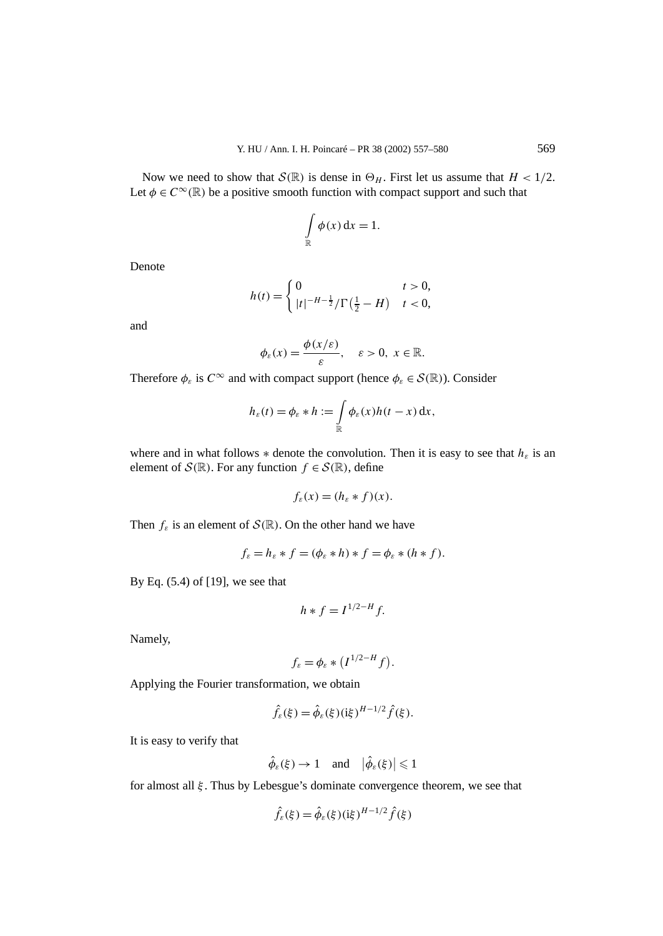Now we need to show that  $S(\mathbb{R})$  is dense in  $\Theta_H$ . First let us assume that  $H < 1/2$ . Let  $\phi \in C^{\infty}(\mathbb{R})$  be a positive smooth function with compact support and such that

$$
\int_{\mathbb{R}} \phi(x) \, \mathrm{d}x = 1.
$$

Denote

$$
h(t) = \begin{cases} 0 & t > 0, \\ |t|^{-H-\frac{1}{2}} / \Gamma(\frac{1}{2} - H) & t < 0, \end{cases}
$$

and

$$
\phi_{\varepsilon}(x) = \frac{\phi(x/\varepsilon)}{\varepsilon}, \quad \varepsilon > 0, \ x \in \mathbb{R}.
$$

Therefore  $\phi_{\varepsilon}$  is  $C^{\infty}$  and with compact support (hence  $\phi_{\varepsilon} \in \mathcal{S}(\mathbb{R})$ ). Consider

$$
h_{\varepsilon}(t) = \phi_{\varepsilon} * h := \int_{\mathbb{R}} \phi_{\varepsilon}(x) h(t - x) \, \mathrm{d}x,
$$

where and in what follows  $*$  denote the convolution. Then it is easy to see that  $h_{\varepsilon}$  is an element of  $S(\mathbb{R})$ . For any function  $f \in S(\mathbb{R})$ , define

$$
f_{\varepsilon}(x) = (h_{\varepsilon} * f)(x).
$$

Then  $f_{\varepsilon}$  is an element of  $\mathcal{S}(\mathbb{R})$ . On the other hand we have

$$
f_{\varepsilon} = h_{\varepsilon} * f = (\phi_{\varepsilon} * h) * f = \phi_{\varepsilon} * (h * f).
$$

By Eq. (5.4) of [19], we see that

$$
h * f = I^{1/2 - H} f.
$$

Namely,

$$
f_{\varepsilon} = \phi_{\varepsilon} * (I^{1/2-H} f).
$$

Applying the Fourier transformation, we obtain

$$
\hat{f}_{\varepsilon}(\xi) = \hat{\phi}_{\varepsilon}(\xi)(i\xi)^{H-1/2} \hat{f}(\xi).
$$

It is easy to verify that

$$
\hat{\phi}_{\varepsilon}(\xi) \to 1
$$
 and  $|\hat{\phi}_{\varepsilon}(\xi)| \leq 1$ 

for almost all *ξ* . Thus by Lebesgue's dominate convergence theorem, we see that

$$
\hat{f}_{\varepsilon}(\xi) = \hat{\phi}_{\varepsilon}(\xi)(\mathrm{i}\xi)^{H-1/2}\hat{f}(\xi)
$$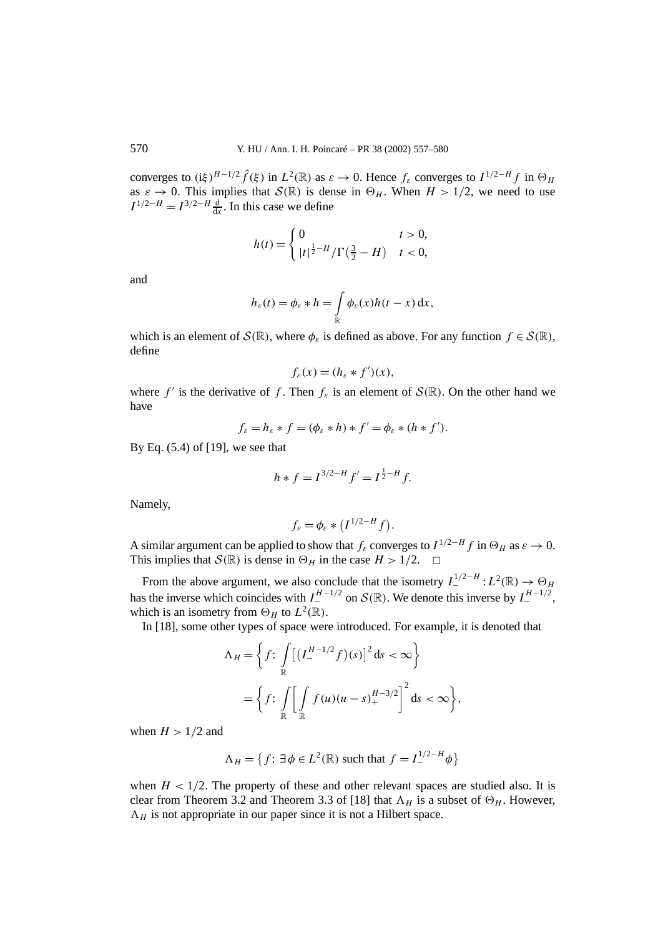converges to  $(i\xi)^{H-1/2} \hat{f}(\xi)$  in  $L^2(\mathbb{R})$  as  $\varepsilon \to 0$ . Hence  $f_{\varepsilon}$  converges to  $I^{1/2-H} f$  in  $\Theta_H$ as  $\varepsilon \to 0$ . This implies that  $S(\mathbb{R})$  is dense in  $\Theta_H$ . When  $H > 1/2$ , we need to use  $I^{1/2-H} = I^{3/2-H} \frac{d}{dx}$ . In this case we define

$$
h(t) = \begin{cases} 0 & t > 0, \\ |t|^{\frac{1}{2}-H}/\Gamma(\frac{3}{2} - H) & t < 0, \end{cases}
$$

and

$$
h_{\varepsilon}(t) = \phi_{\varepsilon} * h = \int_{\mathbb{R}} \phi_{\varepsilon}(x) h(t - x) \, \mathrm{d}x,
$$

which is an element of  $S(\mathbb{R})$ , where  $\phi_{\varepsilon}$  is defined as above. For any function  $f \in S(\mathbb{R})$ , define

$$
f_{\varepsilon}(x) = (h_{\varepsilon} * f')(x),
$$

where *f'* is the derivative of *f*. Then  $f_{\varepsilon}$  is an element of  $S(\mathbb{R})$ . On the other hand we have

$$
f_{\varepsilon} = h_{\varepsilon} * f = (\phi_{\varepsilon} * h) * f' = \phi_{\varepsilon} * (h * f').
$$

By Eq. (5.4) of [19], we see that

$$
h * f = I^{3/2-H} f' = I^{\frac{1}{2}-H} f.
$$

Namely,

$$
f_{\varepsilon} = \phi_{\varepsilon} * (I^{1/2-H} f).
$$

A similar argument can be applied to show that  $f_{\varepsilon}$  converges to  $I^{1/2-H}$  *f* in  $\Theta_H$  as  $\varepsilon \to 0$ . This implies that  $S(\mathbb{R})$  is dense in  $\Theta_H$  in the case  $H > 1/2$ .  $\Box$ 

From the above argument, we also conclude that the isometry  $I_{-}^{1/2-H}: L^2(\mathbb{R}) \to \Theta_H$ has the inverse which coincides with  $I_1^{H-1/2}$  on  $\mathcal{S}(\mathbb{R})$ . We denote this inverse by  $I_1^{H-1/2}$ , which is an isometry from  $\Theta_H$  to  $L^2(\mathbb{R})$ .

In [18], some other types of space were introduced. For example, it is denoted that

$$
\Lambda_H = \left\{ f \colon \int\limits_{\mathbb{R}} \left[ \left( I_{-}^{H-1/2} f \right) (s) \right]^2 ds < \infty \right\}
$$
\n
$$
= \left\{ f \colon \int\limits_{\mathbb{R}} \left[ \int\limits_{\mathbb{R}} f(u) (u - s)_{+}^{H-3/2} \right]^2 ds < \infty \right\},
$$

when  $H > 1/2$  and

$$
\Lambda_H = \left\{ f : \exists \phi \in L^2(\mathbb{R}) \text{ such that } f = I^{1/2-H}_{-} \phi \right\}
$$

when  $H < 1/2$ . The property of these and other relevant spaces are studied also. It is clear from Theorem 3.2 and Theorem 3.3 of [18] that  $\Lambda_H$  is a subset of  $\Theta_H$ . However,  $\Lambda_H$  is not appropriate in our paper since it is not a Hilbert space.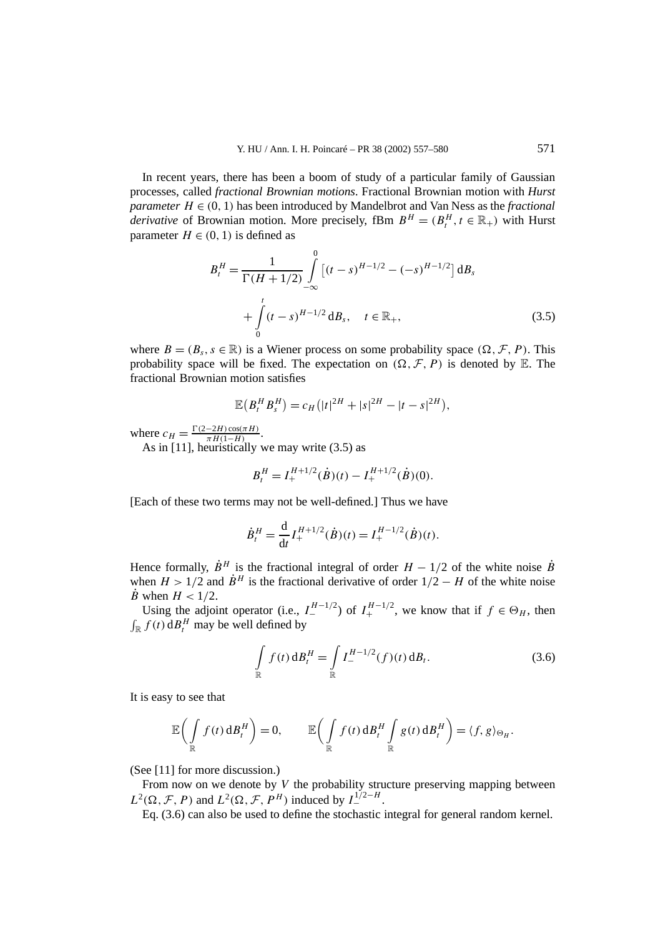In recent years, there has been a boom of study of a particular family of Gaussian processes, called *fractional Brownian motions*. Fractional Brownian motion with *Hurst parameter*  $H \in (0, 1)$  has been introduced by Mandelbrot and Van Ness as the *fractional derivative* of Brownian motion. More precisely, fBm  $B^H = (B_t^H, t \in \mathbb{R}_+)$  with Hurst parameter  $H \in (0, 1)$  is defined as

$$
B_t^H = \frac{1}{\Gamma(H+1/2)} \int_{-\infty}^0 \left[ (t-s)^{H-1/2} - (-s)^{H-1/2} \right] \mathrm{d}B_s
$$
  
+ 
$$
\int_0^t (t-s)^{H-1/2} \mathrm{d}B_s, \quad t \in \mathbb{R}_+, \tag{3.5}
$$

where  $B = (B_s, s \in \mathbb{R})$  is a Wiener process on some probability space  $(\Omega, \mathcal{F}, P)$ . This probability space will be fixed. The expectation on  $(\Omega, \mathcal{F}, P)$  is denoted by E. The fractional Brownian motion satisfies

$$
\mathbb{E}(B_t^H B_s^H) = c_H (|t|^{2H} + |s|^{2H} - |t - s|^{2H}),
$$

where  $c_H = \frac{\Gamma(2-2H)\cos(\pi H)}{\pi H(1-H)}$ .

As in [11], heuristically we may write (3.5) as

$$
B_t^H = I_+^{H+1/2}(\dot{B})(t) - I_+^{H+1/2}(\dot{B})(0).
$$

[Each of these two terms may not be well-defined.] Thus we have

$$
\dot{B}_t^H = \frac{\mathrm{d}}{\mathrm{d}t} I_+^{H+1/2}(\dot{B})(t) = I_+^{H-1/2}(\dot{B})(t).
$$

Hence formally,  $\dot{B}^H$  is the fractional integral of order  $H - 1/2$  of the white noise  $\dot{B}$ when  $H > 1/2$  and  $\dot{B}^H$  is the fractional derivative of order  $1/2 - H$  of the white noise  $\dot{B}$  when  $H < 1/2$ .

Using the adjoint operator (i.e.,  $I_{-}^{H-1/2}$ ) of  $I_{+}^{H-1/2}$ , we know that if  $f \in \Theta_H$ , then  $\int_{\mathbb{R}} f(t) dB_t^H$  may be well defined by

$$
\int_{\mathbb{R}} f(t) \, \mathrm{d}B_t^H = \int_{\mathbb{R}} I^{H-1/2}_-(f)(t) \, \mathrm{d}B_t. \tag{3.6}
$$

It is easy to see that

$$
\mathbb{E}\bigg(\int\limits_{\mathbb{R}} f(t) \, \mathrm{d}B_t^H\bigg) = 0, \qquad \mathbb{E}\bigg(\int\limits_{\mathbb{R}} f(t) \, \mathrm{d}B_t^H \int\limits_{\mathbb{R}} g(t) \, \mathrm{d}B_t^H\bigg) = \langle f, g \rangle_{\Theta_H}.
$$

(See [11] for more discussion.)

From now on we denote by *V* the probability structure preserving mapping between  $L^2(\Omega, \mathcal{F}, P)$  and  $L^2(\Omega, \mathcal{F}, P^H)$  induced by  $I_{-}^{1/2-H}$ .

Eq. (3.6) can also be used to define the stochastic integral for general random kernel.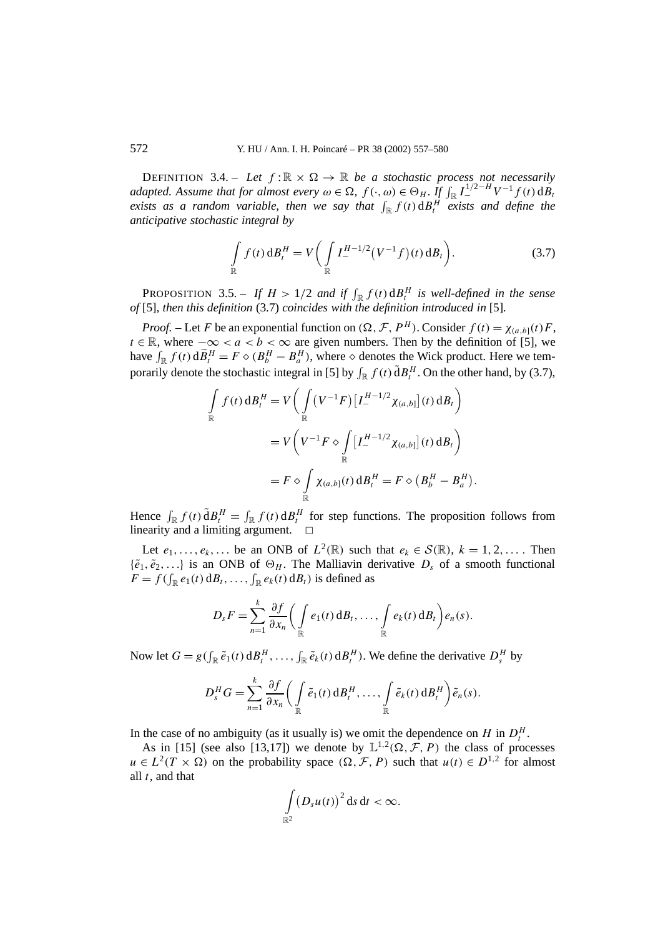DEFINITION 3.4. – Let  $f: \mathbb{R} \times \Omega \to \mathbb{R}$  be a stochastic process not necessarily *adapted. Assume that for almost every*  $\omega \in \Omega$ ,  $f(\cdot, \omega) \in \Theta_H$ . If  $\int_{\mathbb{R}} I_{-}^{1/2-H} V^{-1} f(t) dB_t$ *exists as a random variable, then we say that*  $\int_{\mathbb{R}} f(t) dB_t^H$  *exists and define the anticipative stochastic integral by*

$$
\int_{\mathbb{R}} f(t) \, \mathrm{d}B_t^H = V \bigg( \int_{\mathbb{R}} I_-^{H-1/2} (V^{-1} f)(t) \, \mathrm{d}B_t \bigg). \tag{3.7}
$$

PROPOSITION 3.5. – If  $H > 1/2$  and if  $\int_{\mathbb{R}} f(t) dH$  *is well-defined in the sense of* [5]*, then this definition* (3.7) *coincides with the definition introduced in* [5]*.*

*Proof.* – Let *F* be an exponential function on  $(\Omega, \mathcal{F}, P^H)$ . Consider  $f(t) = \chi_{(a,b]}(t)F$ , *t* ∈ R, where  $-\infty < a < b < \infty$  are given numbers. Then by the definition of [5], we have  $\int_{\mathbb{R}} f(t) d\tilde{B}_t^H = F \diamond (B_b^H - B_a^H)$ , where  $\diamond$  denotes the Wick product. Here we temporarily denote the stochastic integral in [5] by  $\int_{\mathbb{R}} f(t) dH$ <sup>*H*</sup>. On the other hand, by (3.7),

$$
\int_{\mathbb{R}} f(t) dB_t^H = V \left( \int_{\mathbb{R}} (V^{-1}F) \left[ I_{-}^{H-1/2} \chi_{(a,b]} \right](t) dB_t \right)
$$
  

$$
= V \left( V^{-1} F \diamond \int_{\mathbb{R}} \left[ I_{-}^{H-1/2} \chi_{(a,b]} \right](t) dB_t \right)
$$
  

$$
= F \diamond \int_{\mathbb{R}} \chi_{(a,b]}(t) dB_t^H = F \diamond (B_b^H - B_a^H).
$$

Hence  $\int_{\mathbb{R}} f(t) \, \tilde{d}B_t^H = \int_{\mathbb{R}} f(t) \, dB_t^H$  for step functions. The proposition follows from linearity and a limiting argument.  $\square$ 

Let  $e_1, \ldots, e_k, \ldots$  be an ONB of  $L^2(\mathbb{R})$  such that  $e_k \in \mathcal{S}(\mathbb{R})$ ,  $k = 1, 2, \ldots$ . Then  $\{\tilde{e}_1, \tilde{e}_2, ...\}$  is an ONB of  $\Theta_H$ . The Malliavin derivative  $D_s$  of a smooth functional  $F = f(\int_{\mathbb{R}} e_1(t) \, dB_t, \ldots, \int_{\mathbb{R}} e_k(t) \, dB_t)$  is defined as

$$
D_s F = \sum_{n=1}^k \frac{\partial f}{\partial x_n} \bigg( \int_{\mathbb{R}} e_1(t) \, \mathrm{d}B_t, \ldots, \int_{\mathbb{R}} e_k(t) \, \mathrm{d}B_t \bigg) e_n(s).
$$

Now let  $G = g(\int_{\mathbb{R}} \tilde{e}_1(t) dH_t^H, \dots, \int_{\mathbb{R}} \tilde{e}_k(t) dH_t^H$ . We define the derivative  $D_s^H$  by

$$
D_s^H G = \sum_{n=1}^k \frac{\partial f}{\partial x_n} \bigg( \int\limits_{\mathbb{R}} \tilde{e}_1(t) \, d B_t^H, \ldots, \int\limits_{\mathbb{R}} \tilde{e}_k(t) \, d B_t^H \bigg) \tilde{e}_n(s).
$$

In the case of no ambiguity (as it usually is) we omit the dependence on *H* in  $D_t^H$ .

As in [15] (see also [13,17]) we denote by  $\mathbb{L}^{1,2}(\Omega, \mathcal{F}, P)$  the class of processes  $u \in L^2(T \times \Omega)$  on the probability space  $(\Omega, \mathcal{F}, P)$  such that  $u(t) \in D^{1,2}$  for almost all *t*, and that

$$
\int\limits_{\mathbb{R}^2} \big(D_s u(t)\big)^2\,\mathrm{d} s\,\mathrm{d} t < \infty.
$$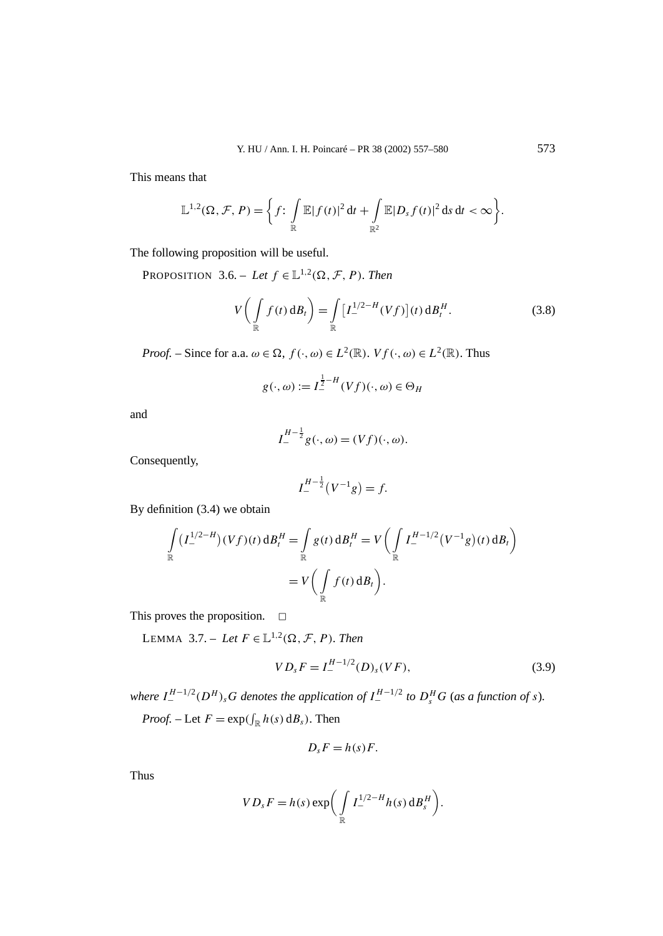This means that

$$
\mathbb{L}^{1,2}(\Omega,\mathcal{F},P)=\bigg\{f\colon\int\limits_{\mathbb{R}}\mathbb{E}|f(t)|^2\,\mathrm{d}t+\int\limits_{\mathbb{R}^2}\mathbb{E}|D_{s}f(t)|^2\,\mathrm{d}s\,\mathrm{d}t<\infty\bigg\}.
$$

The following proposition will be useful.

PROPOSITION 3.6. – *Let*  $f \in L^{1,2}(\Omega, \mathcal{F}, P)$ *. Then* 

$$
V\left(\int\limits_{\mathbb{R}} f(t) \, \mathrm{d}B_t\right) = \int\limits_{\mathbb{R}} \left[I_{-}^{1/2-H}(Vf)\right](t) \, \mathrm{d}B_t^H. \tag{3.8}
$$

*Proof.* – Since for a.a.  $\omega \in \Omega$ ,  $f(\cdot, \omega) \in L^2(\mathbb{R})$ .  $Vf(\cdot, \omega) \in L^2(\mathbb{R})$ . Thus

$$
g(\cdot, \omega) := I_{-}^{\frac{1}{2} - H}(Vf)(\cdot, \omega) \in \Theta_H
$$

and

$$
I_{-}^{H-\frac{1}{2}}g(\cdot,\omega)=(Vf)(\cdot,\omega).
$$

Consequently,

$$
I_{-}^{H-\frac{1}{2}}(V^{-1}g) = f.
$$

By definition (3.4) we obtain

$$
\int_{\mathbb{R}} (I_{-}^{1/2-H})(Vf)(t) dB_{t}^{H} = \int_{\mathbb{R}} g(t) dB_{t}^{H} = V \left( \int_{\mathbb{R}} I_{-}^{H-1/2} (V^{-1}g)(t) dB_{t} \right)
$$
  
=  $V \left( \int_{\mathbb{R}} f(t) dB_{t} \right).$ 

This proves the proposition.  $\square$ 

LEMMA 3.7. – Let  $F \in L^{1,2}(\Omega, \mathcal{F}, P)$ *. Then* 

$$
VD_sF = I_-^{H-1/2}(D)_s(VF),
$$
\n(3.9)

where  $I^{H-1/2}_-(D^H)_sG$  denotes the application of  $I^{H-1/2}_-$  to  $D^H_sG$  (as a function of s).

*Proof.* – Let  $F = \exp(\int_{\mathbb{R}} h(s) \, dB_s)$ . Then

$$
D_s F = h(s)F.
$$

Thus

$$
VD_sF = h(s) \exp\biggl(\int\limits_{\mathbb{R}} I_{-}^{1/2-H}h(s) dB_s^H\biggr).
$$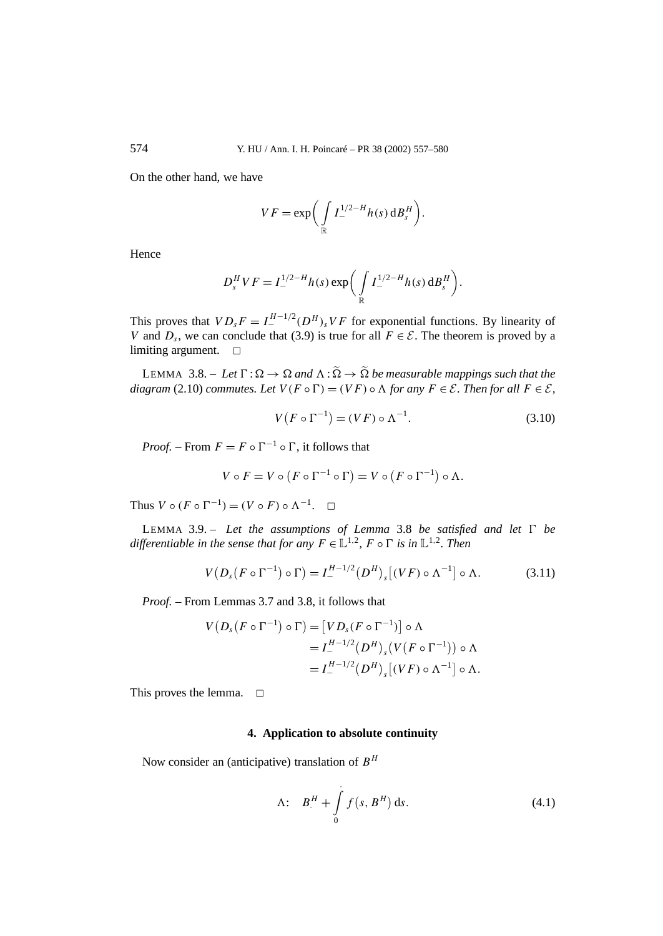On the other hand, we have

$$
VF = \exp\bigg(\int\limits_{\mathbb{R}} I_{-}^{1/2-H} h(s) dB_s^H\bigg).
$$

Hence

$$
D_s^H V F = I_{-}^{1/2-H} h(s) \exp \biggl( \int\limits_{\mathbb{R}} I_{-}^{1/2-H} h(s) \, \mathrm{d}B_s^H \biggr).
$$

This proves that  $VD_sF = I^{H-1/2}_-(D^H)_sVF$  for exponential functions. By linearity of *V* and  $D_s$ , we can conclude that (3.9) is true for all  $F \in \mathcal{E}$ . The theorem is proved by a limiting argument.  $\square$ 

LEMMA 3.8. – Let  $\Gamma : \Omega \to \Omega$  and  $\Lambda : \widetilde{\Omega} \to \widetilde{\Omega}$  be measurable mappings such that the *diagram* (2.10) *commutes. Let*  $V(F \circ \Gamma) = (VF) \circ \Lambda$  *for any*  $F \in \mathcal{E}$ *. Then for all*  $F \in \mathcal{E}$ *,* 

$$
V(F \circ \Gamma^{-1}) = (VF) \circ \Lambda^{-1}.
$$
 (3.10)

*Proof.* – From  $F = F \circ \Gamma^{-1} \circ \Gamma$ , it follows that

$$
V \circ F = V \circ (F \circ \Gamma^{-1} \circ \Gamma) = V \circ (F \circ \Gamma^{-1}) \circ \Lambda.
$$

Thus  $V \circ (F \circ \Gamma^{-1}) = (V \circ F) \circ \Lambda^{-1}$ .  $\Box$ 

LEMMA 3.9. – Let the assumptions of Lemma 3.8 be satisfied and let  $\Gamma$  be *differentiable in the sense that for any*  $F \in L^{1,2}$ ,  $F \circ \Gamma$  *is in*  $L^{1,2}$ *. Then* 

$$
V(Ds(F \circ \Gamma^{-1}) \circ \Gamma) = I^{H-1/2}(\mathcal{D}^H)_{s}[(VF) \circ \Lambda^{-1}] \circ \Lambda.
$$
 (3.11)

*Proof. –* From Lemmas 3.7 and 3.8, it follows that

$$
V(Ds(F \circ \Gamma^{-1}) \circ \Gamma) = [VDs(F \circ \Gamma^{-1})] \circ \Lambda
$$
  
=  $I_-^{H-1/2}(D^H)_s(V(F \circ \Gamma^{-1})) \circ \Lambda$   
=  $I_-^{H-1/2}(D^H)_s[(VF) \circ \Lambda^{-1}] \circ \Lambda.$ 

This proves the lemma.  $\Box$ 

### **4. Application to absolute continuity**

Now consider an (anticipative) translation of *B<sup>H</sup>*

$$
\Lambda: \quad B_{.}^{H} + \int\limits_{0}^{.} f(s, B^{H}) \, \mathrm{d}s. \tag{4.1}
$$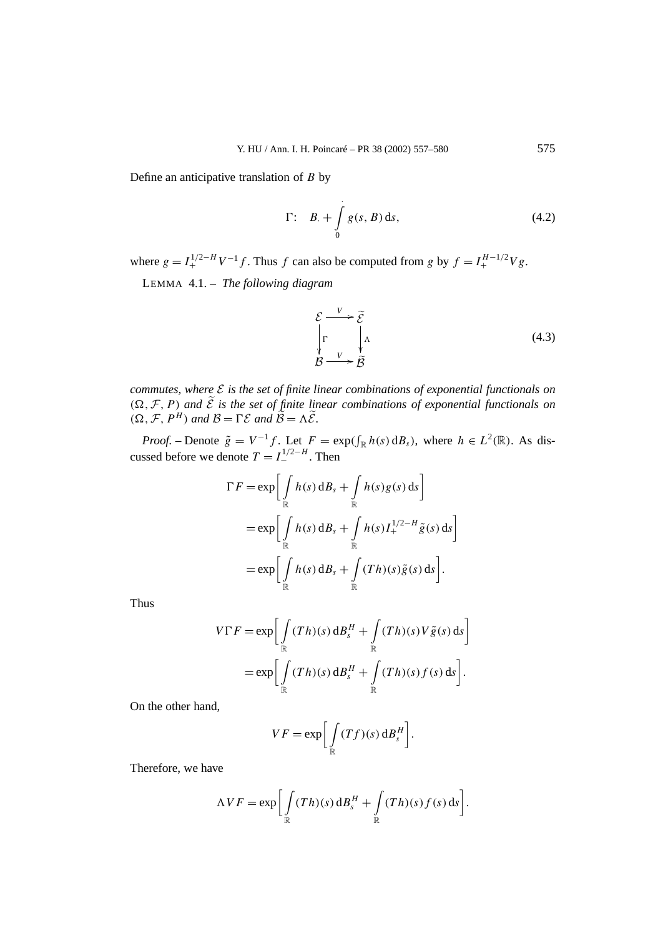Define an anticipative translation of *B* by

$$
\Gamma: \quad B_{\cdot} + \int\limits_{0}^{1} g(s, B) \, \mathrm{d}s,\tag{4.2}
$$

where  $g = I_{+}^{1/2-H} V^{-1} f$ . Thus *f* can also be computed from *g* by  $f = I_{+}^{H-1/2} V g$ .

LEMMA 4.1. – *The following diagram*

$$
\mathcal{E} \xrightarrow{V} \widetilde{\mathcal{E}} \\
\int_{\mathcal{B}} \Gamma \downarrow \Lambda \\
\mathcal{B} \xrightarrow{V} \widetilde{\mathcal{B}} \tag{4.3}
$$

*commutes, where* E *is the set of finite linear combinations of exponential functionals on*  $(\Omega, \mathcal{F}, P)$  *and*  $\tilde{\mathcal{E}}$  *is the set of finite linear combinations of exponential functionals on*  $(\Omega, \mathcal{F}, P^H)$  *and*  $\mathcal{B} = \Gamma \mathcal{E}$  *and*  $\tilde{\mathcal{B}} = \Lambda \tilde{\mathcal{E}}$ *.* 

*Proof.* – Denote  $\tilde{g} = V^{-1}f$ . Let  $F = \exp(\int_{\mathbb{R}} h(s) \, dB_s)$ , where  $h \in L^2(\mathbb{R})$ . As discussed before we denote  $T = I_{-}^{1/2-H}$ . Then

$$
\Gamma F = \exp \left[ \int_{\mathbb{R}} h(s) \, \mathrm{d}B_s + \int_{\mathbb{R}} h(s) g(s) \, \mathrm{d}s \right]
$$
  
= 
$$
\exp \left[ \int_{\mathbb{R}} h(s) \, \mathrm{d}B_s + \int_{\mathbb{R}} h(s) I_+^{1/2-H} \tilde{g}(s) \, \mathrm{d}s \right]
$$
  
= 
$$
\exp \left[ \int_{\mathbb{R}} h(s) \, \mathrm{d}B_s + \int_{\mathbb{R}} (Th)(s) \tilde{g}(s) \, \mathrm{d}s \right].
$$

Thus

$$
V\Gamma F = \exp\left[\int\limits_{\mathbb{R}} (Th)(s) dB_s^H + \int\limits_{\mathbb{R}} (Th)(s) V\tilde{g}(s) ds\right]
$$
  
= 
$$
\exp\left[\int\limits_{\mathbb{R}} (Th)(s) dB_s^H + \int\limits_{\mathbb{R}} (Th)(s) f(s) ds\right].
$$

On the other hand,

$$
VF = \exp\bigg[\int\limits_{\mathbb{R}} (Tf)(s) dB_s^H\bigg].
$$

Therefore, we have

$$
\Lambda VF = \exp \bigg[ \int\limits_{\mathbb{R}} (Th)(s) dB_s^H + \int\limits_{\mathbb{R}} (Th)(s) f(s) ds \bigg].
$$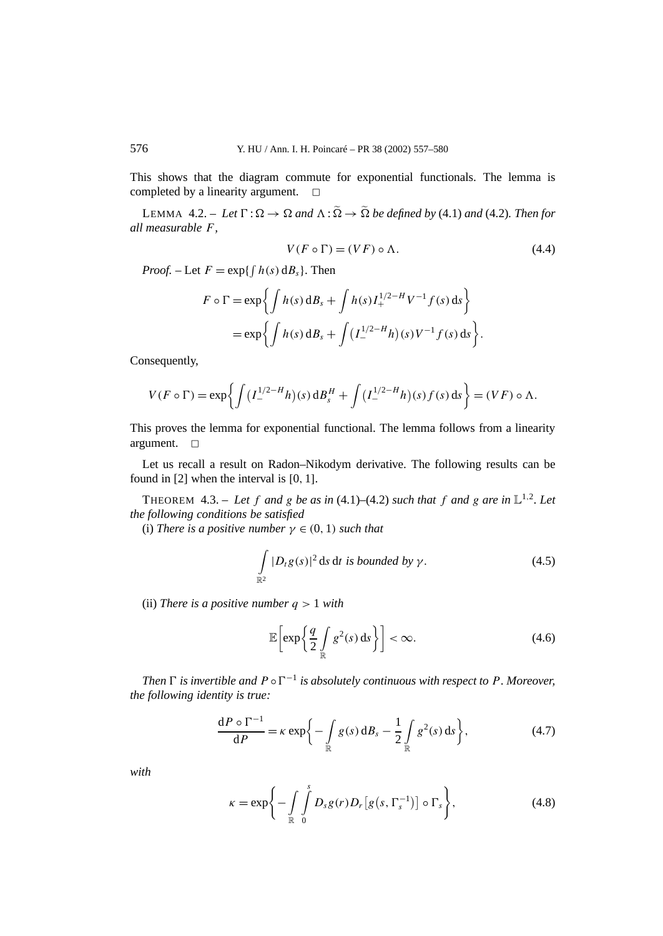This shows that the diagram commute for exponential functionals. The lemma is completed by a linearity argument.  $\square$ 

LEMMA 4.2. – Let  $\Gamma : \Omega \to \Omega$  and  $\Lambda : \widetilde{\Omega} \to \widetilde{\Omega}$  be defined by (4.1) and (4.2). Then for *all measurable F,*

$$
V(F \circ \Gamma) = (VF) \circ \Lambda. \tag{4.4}
$$

*Proof.* – Let  $F = \exp\{\int h(s) \, dB_s\}$ . Then

$$
F \circ \Gamma = \exp \left\{ \int h(s) \, \mathrm{d}B_s + \int h(s) I_+^{1/2-H} V^{-1} f(s) \, \mathrm{d}s \right\}
$$
  
=  $\exp \left\{ \int h(s) \, \mathrm{d}B_s + \int (I_-^{1/2-H} h)(s) V^{-1} f(s) \, \mathrm{d}s \right\}.$ 

Consequently,

$$
V(F \circ \Gamma) = \exp\left\{ \int \left( I_{-}^{1/2-H} h \right)(s) \, \mathrm{d}B_s^H + \int \left( I_{-}^{1/2-H} h \right)(s) f(s) \, \mathrm{d}s \right\} = (VF) \circ \Lambda.
$$

This proves the lemma for exponential functional. The lemma follows from a linearity argument.  $\Box$ 

Let us recall a result on Radon–Nikodym derivative. The following results can be found in [2] when the interval is [0*,* 1].

THEOREM 4.3. – Let f and g be as in (4.1)–(4.2) such that f and g are in  $\mathbb{L}^{1,2}$ . Let *the following conditions be satisfied*

(i) *There is a positive number*  $\gamma \in (0, 1)$  *such that* 

$$
\int_{\mathbb{R}^2} |D_t g(s)|^2 \, \mathrm{d} s \, \mathrm{d} t \text{ is bounded by } \gamma. \tag{4.5}
$$

(ii) *There is a positive number q >* 1 *with*

$$
\mathbb{E}\left[\exp\left\{\frac{q}{2}\int\limits_{\mathbb{R}}g^{2}(s)\,\mathrm{d}s\right\}\right]<\infty.\tag{4.6}
$$

*Then*  $\Gamma$  *is invertible and*  $P \circ \Gamma^{-1}$  *is absolutely continuous with respect to*  $P$ *. Moreover, the following identity is true:*

$$
\frac{\mathrm{d}P\circ\Gamma^{-1}}{\mathrm{d}P} = \kappa \exp\bigg\{-\int\limits_{\mathbb{R}} g(s) \,\mathrm{d}B_s - \frac{1}{2} \int\limits_{\mathbb{R}} g^2(s) \,\mathrm{d}s\bigg\},\tag{4.7}
$$

*with*

$$
\kappa = \exp\left\{-\int\limits_{\mathbb{R}} \int\limits_{0}^{s} D_s g(r) D_r \left[g\left(s, \Gamma_s^{-1}\right)\right] \circ \Gamma_s\right\},\tag{4.8}
$$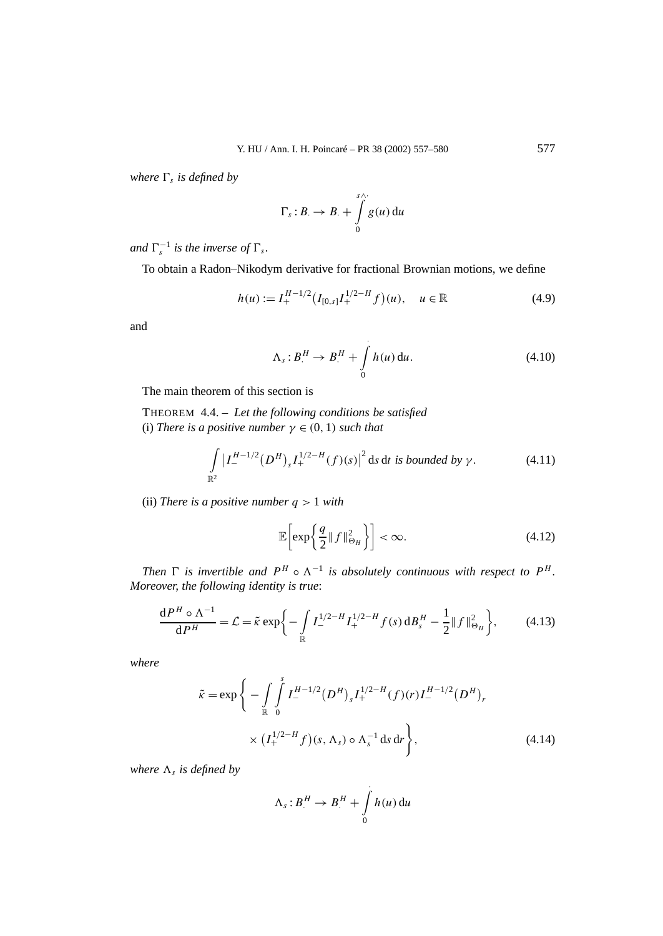*where*  $\Gamma_s$  *is defined by* 

$$
\Gamma_s:B.\to B.+\int\limits_0^{s\wedge\cdot}g(u)\,\mathrm{d} u
$$

*and*  $\Gamma_s^{-1}$  *is the inverse of*  $\Gamma_s$ *.* 

To obtain a Radon–Nikodym derivative for fractional Brownian motions, we define

$$
h(u) := I_{+}^{H-1/2} (I_{[0,s]} I_{+}^{1/2-H} f)(u), \quad u \in \mathbb{R}
$$
 (4.9)

and

$$
\Lambda_s: B^H \to B^H + \int_0^1 h(u) \, \mathrm{d}u. \tag{4.10}
$$

The main theorem of this section is

THEOREM 4.4. – *Let the following conditions be satisfied* (i) *There is a positive number*  $\gamma \in (0, 1)$  *such that* 

$$
\int_{\mathbb{R}^2} |I_{-}^{H-1/2}(D^H)_{s}I_{+}^{1/2-H}(f)(s)|^2 \, \mathrm{d} s \, \mathrm{d} t \, \mathrm{d} s \, \mathrm{bounded} \, \mathrm{by} \, \gamma. \tag{4.11}
$$

(ii) *There is a positive number q >* 1 *with*

$$
\mathbb{E}\left[\exp\left\{\frac{q}{2}||f||_{\Theta_H}^2\right\}\right] < \infty.
$$
 (4.12)

*Then*  $\Gamma$  *is invertible and*  $P^H \circ \Lambda^{-1}$  *is absolutely continuous with respect to*  $P^H$ *. Moreover, the following identity is true*:

$$
\frac{\mathrm{d}P^H \circ \Lambda^{-1}}{\mathrm{d}P^H} = \mathcal{L} = \tilde{\kappa} \exp\bigg\{-\int\limits_{\mathbb{R}} I_{-}^{1/2-H} I_{+}^{1/2-H} f(s) \, \mathrm{d}B_s^H - \frac{1}{2} \|f\|_{\Theta_H}^2\bigg\},\tag{4.13}
$$

*where*

$$
\tilde{\kappa} = \exp\bigg\{-\int_{\mathbb{R}} \int_{0}^{s} I_{-}^{H-1/2} (D^{H})_{s} I_{+}^{1/2-H}(f)(r) I_{-}^{H-1/2} (D^{H})_{r} \times (I_{+}^{1/2-H} f)(s, \Lambda_{s}) \circ \Lambda_{s}^{-1} ds dr \bigg\},
$$
\n(4.14)

*where*  $\Lambda_s$  *is defined by* 

$$
\Lambda_s:B^H\to B^H+\int\limits_0^1h(u)\,\mathrm{d} u
$$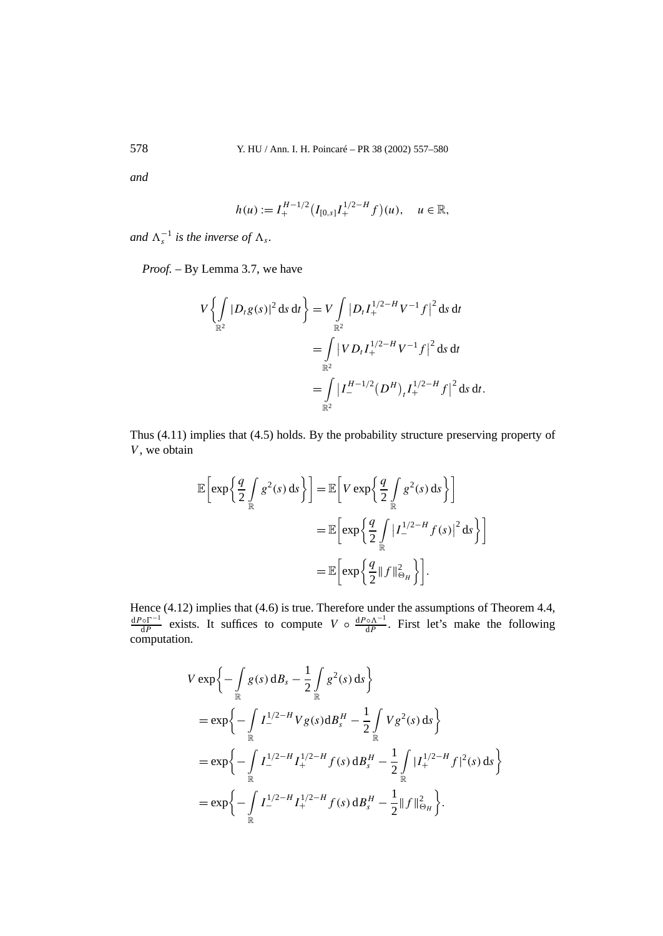*and*

$$
h(u) := I_+^{H-1/2} \big( I_{[0,s]} I_+^{1/2-H} f \big)(u), \quad u \in \mathbb{R},
$$

and  $\Lambda_s^{-1}$  is the inverse of  $\Lambda_s$ .

*Proof. –* By Lemma 3.7, we have

$$
V\left\{\int_{\mathbb{R}^2} |D_t g(s)|^2 ds dt\right\} = V \int_{\mathbb{R}^2} |D_t I_+^{1/2-H} V^{-1} f|^2 ds dt
$$
  
= 
$$
\int_{\mathbb{R}^2} |V D_t I_+^{1/2-H} V^{-1} f|^2 ds dt
$$
  
= 
$$
\int_{\mathbb{R}^2} |I_-^{H-1/2} (D^H)_t I_+^{1/2-H} f|^2 ds dt.
$$

Thus (4.11) implies that (4.5) holds. By the probability structure preserving property of *V*, we obtain

$$
\mathbb{E}\left[\exp\left\{\frac{q}{2}\int_{\mathbb{R}}g^{2}(s)\,ds\right\}\right] = \mathbb{E}\left[V\exp\left\{\frac{q}{2}\int_{\mathbb{R}}g^{2}(s)\,ds\right\}\right]
$$

$$
= \mathbb{E}\left[\exp\left\{\frac{q}{2}\int_{\mathbb{R}}|I_{-}^{1/2-H}f(s)|^{2}\,ds\right\}\right]
$$

$$
= \mathbb{E}\left[\exp\left\{\frac{q}{2}\|f\|_{\Theta_{H}}^{2}\right\}\right].
$$

Hence (4.12) implies that (4.6) is true. Therefore under the assumptions of Theorem 4.4,  $\frac{dP \circ \Gamma^{-1}}{dP}$  exists. It suffices to compute *V* ◦  $\frac{dP \circ \Lambda^{-1}}{dP}$ . First let's make the following computation.

$$
V \exp \left\{ -\int_{\mathbb{R}} g(s) \, \mathrm{d}B_s - \frac{1}{2} \int_{\mathbb{R}} g^2(s) \, \mathrm{d}s \right\}
$$
  
=  $\exp \left\{ -\int_{\mathbb{R}} I_{\mathbb{R}}^{1/2-H} V g(s) \mathrm{d}B_s^H - \frac{1}{2} \int_{\mathbb{R}} V g^2(s) \, \mathrm{d}s \right\}$   
=  $\exp \left\{ -\int_{\mathbb{R}} I_{\mathbb{R}}^{1/2-H} I_{\mathbb{R}}^{1/2-H} f(s) \, \mathrm{d}B_s^H - \frac{1}{2} \int_{\mathbb{R}} |I_{\mathbb{R}}^{1/2-H} f|^2(s) \, \mathrm{d}s \right\}$   
=  $\exp \left\{ -\int_{\mathbb{R}} I_{\mathbb{R}}^{1/2-H} I_{\mathbb{R}}^{1/2-H} f(s) \, \mathrm{d}B_s^H - \frac{1}{2} \|f\|_{\Theta_H}^2 \right\}.$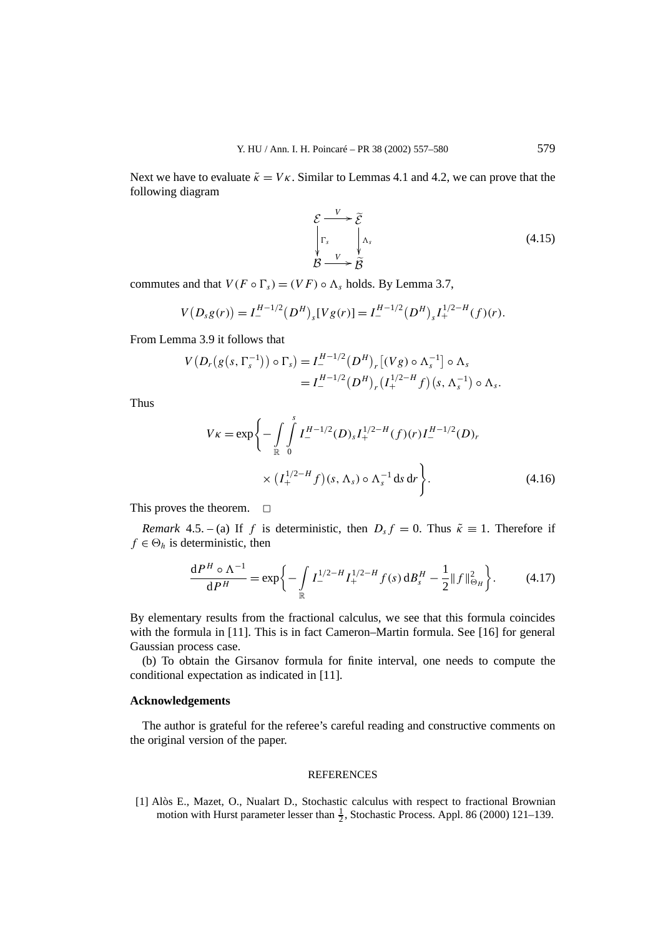Next we have to evaluate  $\tilde{\kappa} = V\kappa$ . Similar to Lemmas 4.1 and 4.2, we can prove that the following diagram

$$
\mathcal{E} \xrightarrow[V_s]{V} \widetilde{\mathcal{E}} \\
\int_{\mathcal{B}} \Gamma_s \xrightarrow[V_s]{\Lambda_s} \tag{4.15}
$$

commutes and that  $V(F \circ \Gamma_s) = (VF) \circ \Lambda_s$  holds. By Lemma 3.7,

$$
V(D_s g(r)) = I_-^{H-1/2} (D^H)_s [V g(r)] = I_-^{H-1/2} (D^H)_s I_+^{1/2-H}(f)(r).
$$

From Lemma 3.9 it follows that

$$
V(D_r(g(s, \Gamma_s^{-1})) \circ \Gamma_s) = I^{H-1/2}_-(D^H)_r [(Vg) \circ \Lambda_s^{-1}] \circ \Lambda_s
$$
  
=  $I^{H-1/2}_-(D^H)_r (I^{1/2-H}_+ f)(s, \Lambda_s^{-1}) \circ \Lambda_s.$ 

Thus

$$
V\kappa = \exp\left\{-\int_{\mathbb{R}} \int_{0}^{s} I_{-}^{H-1/2}(D)_{s} I_{+}^{1/2-H}(f)(r) I_{-}^{H-1/2}(D)_{r} \times (I_{+}^{1/2-H}f)(s, \Lambda_{s}) \circ \Lambda_{s}^{-1} ds dr\right\}.
$$
\n(4.16)

This proves the theorem.  $\Box$ 

*Remark* 4.5. – (a) If *f* is deterministic, then  $D<sub>s</sub> f = 0$ . Thus  $\tilde{\kappa} \equiv 1$ . Therefore if  $f \in \Theta_h$  is deterministic, then

$$
\frac{\mathrm{d}P^H \circ \Lambda^{-1}}{\mathrm{d}P^H} = \exp\bigg\{-\int\limits_{\mathbb{R}} I_{-}^{1/2-H} I_{+}^{1/2-H} f(s) \, \mathrm{d}B_s^H - \frac{1}{2} \|f\|_{\Theta_H}^2\bigg\}.\tag{4.17}
$$

By elementary results from the fractional calculus, we see that this formula coincides with the formula in [11]. This is in fact Cameron–Martin formula. See [16] for general Gaussian process case.

(b) To obtain the Girsanov formula for finite interval, one needs to compute the conditional expectation as indicated in [11].

# **Acknowledgements**

The author is grateful for the referee's careful reading and constructive comments on the original version of the paper.

# **REFERENCES**

[1] Alòs E., Mazet, O., Nualart D., Stochastic calculus with respect to fractional Brownian motion with Hurst parameter lesser than  $\frac{1}{2}$ , Stochastic Process. Appl. 86 (2000) 121–139.